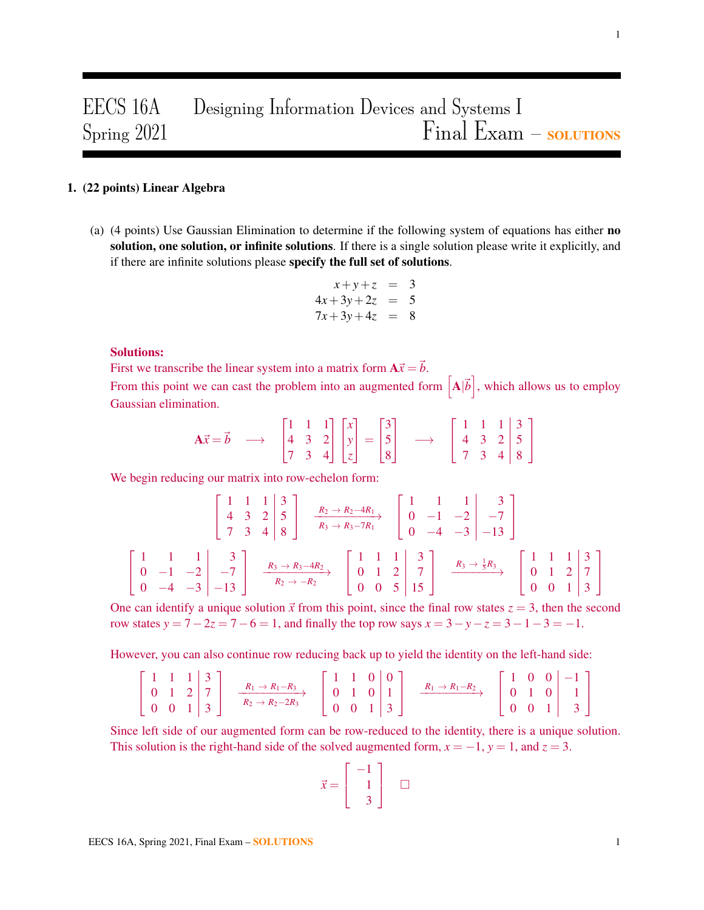# EECS 16A Designing Information Devices and Systems I  $S_{\text{pring}} 2021$   $Final$   $Final$   $Example$   $Example$   $S_{\text{out}} - S_{\text{out}}$

# 1. (22 points) Linear Algebra

(a) (4 points) Use Gaussian Elimination to determine if the following system of equations has either no solution, one solution, or infinite solutions. If there is a single solution please write it explicitly, and if there are infinite solutions please specify the full set of solutions.

$$
x+y+z = 3
$$
  
\n
$$
4x+3y+2z = 5
$$
  
\n
$$
7x+3y+4z = 8
$$

# Solutions:

First we transcribe the linear system into a matrix form  $A\vec{x} = \vec{b}$ .

From this point we can cast the problem into an augmented form  $\left[ {\bf A}|\vec{b}\right]$ , which allows us to employ Gaussian elimination.

$$
\mathbf{A}\vec{x} = \vec{b} \longrightarrow \begin{bmatrix} 1 & 1 & 1 \\ 4 & 3 & 2 \\ 7 & 3 & 4 \end{bmatrix} \begin{bmatrix} x \\ y \\ z \end{bmatrix} = \begin{bmatrix} 3 \\ 5 \\ 8 \end{bmatrix} \longrightarrow \begin{bmatrix} 1 & 1 & 1 & 3 \\ 4 & 3 & 2 & 5 \\ 7 & 3 & 4 & 8 \end{bmatrix}
$$

We begin reducing our matrix into row-echelon form:

$$
\begin{bmatrix} 1 & 1 & 1 & 3 \ 4 & 3 & 2 & 5 \ 7 & 3 & 4 & 8 \end{bmatrix} \xrightarrow[R_2 \to R_2 - 4R_1]{R_2 \to R_2 - 4R_1} \begin{bmatrix} 1 & 1 & 1 & 3 \ 0 & -1 & -2 & -7 \ 0 & -4 & -3 & -13 \end{bmatrix}
$$
  

$$
\begin{bmatrix} 1 & 1 & 1 & 3 \ 0 & -1 & -2 & -7 \ 0 & -4 & -3 & -13 \end{bmatrix} \xrightarrow[R_3 \to R_3 - 4R_2]{R_3 \to R_3 - 4R_2} \begin{bmatrix} 1 & 1 & 1 & 3 \ 0 & 1 & 2 & 7 \ 0 & 0 & 5 & 15 \end{bmatrix} \xrightarrow[R_3 \to \frac{1}{5}R_3]{R_3 \to \frac{1}{5}R_3} \begin{bmatrix} 1 & 1 & 1 & 3 \ 0 & 1 & 2 & 7 \ 0 & 0 & 1 & 3 \end{bmatrix}
$$

One can identify a unique solution  $\vec{x}$  from this point, since the final row states  $z = 3$ , then the second row states  $y = 7 - 2z = 7 - 6 = 1$ , and finally the top row says  $x = 3 - y - z = 3 - 1 - 3 = -1$ .

However, you can also continue row reducing back up to yield the identity on the left-hand side:

$$
\begin{bmatrix} 1 & 1 & 1 & 3 \ 0 & 1 & 2 & 7 \ 0 & 0 & 1 & 3 \end{bmatrix} \xrightarrow[R_1 \to R_1 - R_3]{R_1 \to R_1 - R_3} \begin{bmatrix} 1 & 1 & 0 & 0 \ 0 & 1 & 0 & 1 \ 0 & 0 & 1 & 3 \end{bmatrix} \xrightarrow[R_1 \to R_1 - R_2]{R_1 \to R_1 - R_2} \begin{bmatrix} 1 & 0 & 0 & -1 \ 0 & 1 & 0 & 1 \ 0 & 0 & 1 & 3 \end{bmatrix}
$$

Since left side of our augmented form can be row-reduced to the identity, there is a unique solution. This solution is the right-hand side of the solved augmented form,  $x = -1$ ,  $y = 1$ , and  $z = 3$ .

$$
\vec{x} = \begin{bmatrix} -1 \\ 1 \\ 3 \end{bmatrix} \quad \Box
$$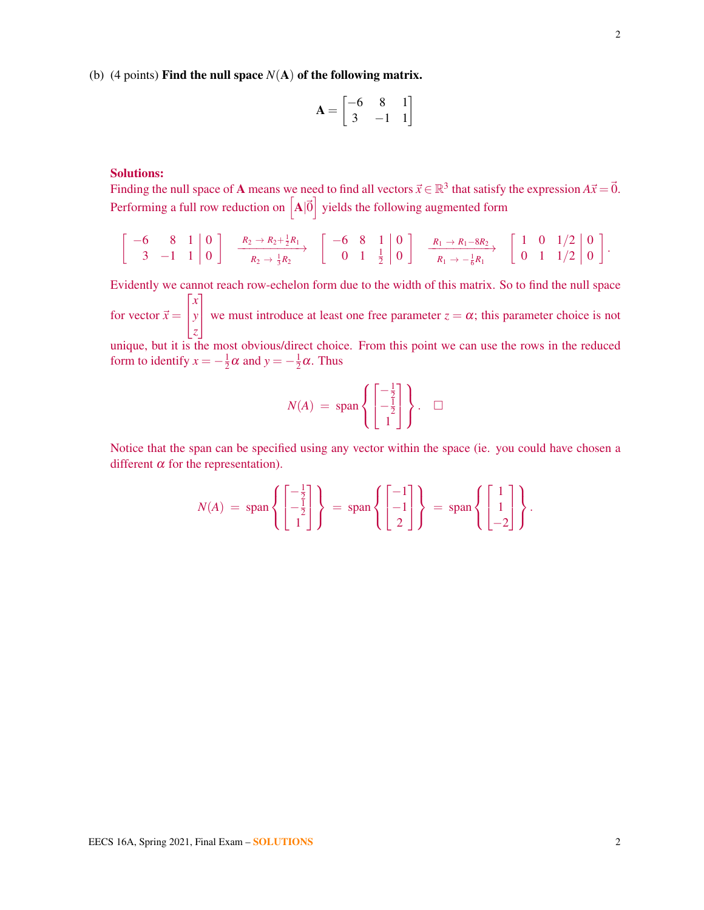(b) (4 points) **Find the null space**  $N(A)$  of the following matrix.

$$
\mathbf{A} = \begin{bmatrix} -6 & 8 & 1 \\ 3 & -1 & 1 \end{bmatrix}
$$

# Solutions:

Finding the null space of **A** means we need to find all vectors  $\vec{x} \in \mathbb{R}^3$  that satisfy the expression  $A\vec{x} = \vec{0}$ . Performing a full row reduction on  $\left[A|\vec{0}\right]$  yields the following augmented form

$$
\left[\begin{array}{cc|c} -6 & 8 & 1 & 0 \\ 3 & -1 & 1 & 0 \end{array}\right] \xrightarrow[R_2 \to R_2 + \frac{1}{2}R_1]{R_2} \left[\begin{array}{cc|c} -6 & 8 & 1 & 0 \\ 0 & 1 & \frac{1}{2} & 0 \end{array}\right] \xrightarrow[R_1 \to R_1 - 8R_2]{R_1 \to R_1 - 8R_2} \left[\begin{array}{cc|c} 1 & 0 & 1/2 & 0 \\ 0 & 1 & 1/2 & 0 \end{array}\right].
$$

Evidently we cannot reach row-echelon form due to the width of this matrix. So to find the null space for vector  $\vec{x} =$ T  $\mathbf{r}$ *x y z* 1 we must introduce at least one free parameter  $z = \alpha$ ; this parameter choice is not unique, but it is the most obvious/direct choice. From this point we can use the rows in the reduced form to identify  $x = -\frac{1}{2}$  $\frac{1}{2}\alpha$  and  $y = -\frac{1}{2}$  $\frac{1}{2}\alpha$ . Thus

$$
N(A) = \text{span}\left\{ \begin{bmatrix} -\frac{1}{2} \\ -\frac{1}{2} \\ 1 \end{bmatrix} \right\}. \quad \Box
$$

Notice that the span can be specified using any vector within the space (ie. you could have chosen a different  $\alpha$  for the representation).

$$
N(A) = \text{span}\left\{ \begin{bmatrix} -\frac{1}{2} \\ -\frac{1}{2} \\ 1 \end{bmatrix} \right\} = \text{span}\left\{ \begin{bmatrix} -1 \\ -1 \\ 2 \end{bmatrix} \right\} = \text{span}\left\{ \begin{bmatrix} 1 \\ 1 \\ -2 \end{bmatrix} \right\}.
$$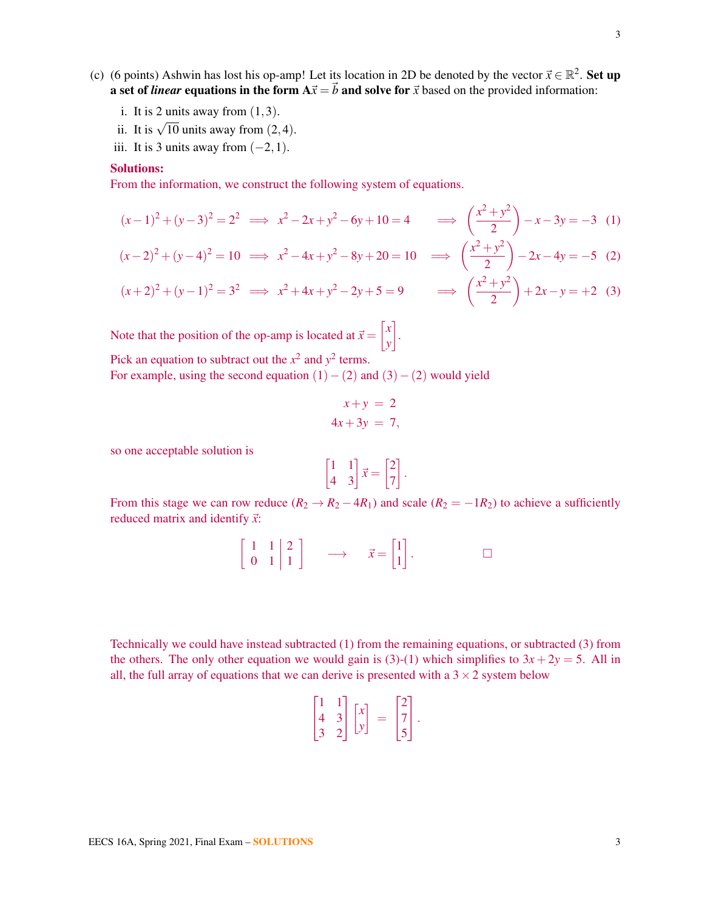- (c) (6 points) Ashwin has lost his op-amp! Let its location in 2D be denoted by the vector  $\vec{x} \in \mathbb{R}^2$ . Set up a set of *linear* equations in the form  $A\vec{x} = \vec{b}$  and solve for  $\vec{x}$  based on the provided information:
	- i. It is 2 units away from  $(1,3)$ .
	- ii. It is  $\sqrt{10}$  units away from  $(2,4)$ .
	- iii. It is 3 units away from  $(-2,1)$ .

#### Solutions:

From the information, we construct the following system of equations.

$$
(x-1)^2 + (y-3)^2 = 2^2 \implies x^2 - 2x + y^2 - 6y + 10 = 4 \implies \left(\frac{x^2 + y^2}{2}\right) - x - 3y = -3
$$
 (1)

$$
(x-2)^2 + (y-4)^2 = 10 \implies x^2 - 4x + y^2 - 8y + 20 = 10 \implies \left(\frac{x^2 + y^2}{2}\right) - 2x - 4y = -5 \tag{2}
$$

$$
(x+2)^2 + (y-1)^2 = 3^2 \implies x^2 + 4x + y^2 - 2y + 5 = 9 \implies \left(\frac{x^2 + y^2}{2}\right) + 2x - y = +2
$$
 (3)

Note that the position of the op-amp is located at  $\vec{x} = \begin{bmatrix} x \\ y \end{bmatrix}$ *y* . Pick an equation to subtract out the  $x^2$  and  $y^2$  terms.

For example, using the second equation  $(1) - (2)$  and  $(3) - (2)$  would yield

$$
x + y = 2
$$
  

$$
4x + 3y = 7,
$$

so one acceptable solution is

$$
\begin{bmatrix} 1 & 1 \\ 4 & 3 \end{bmatrix} \vec{x} = \begin{bmatrix} 2 \\ 7 \end{bmatrix}.
$$

From this stage we can row reduce  $(R_2 \rightarrow R_2 - 4R_1)$  and scale  $(R_2 = -1R_2)$  to achieve a sufficiently reduced matrix and identify  $\vec{x}$ :

$$
\left[\begin{array}{cc|c}1 & 1 & 2\\0 & 1 & 1\end{array}\right] \longrightarrow \bar{x} = \left[\begin{array}{c}1\\1\end{array}\right]. \square
$$

Technically we could have instead subtracted (1) from the remaining equations, or subtracted (3) from the others. The only other equation we would gain is (3)-(1) which simplifies to  $3x + 2y = 5$ . All in all, the full array of equations that we can derive is presented with a  $3 \times 2$  system below

$$
\begin{bmatrix} 1 & 1 \\ 4 & 3 \\ 3 & 2 \end{bmatrix} \begin{bmatrix} x \\ y \end{bmatrix} = \begin{bmatrix} 2 \\ 7 \\ 5 \end{bmatrix}.
$$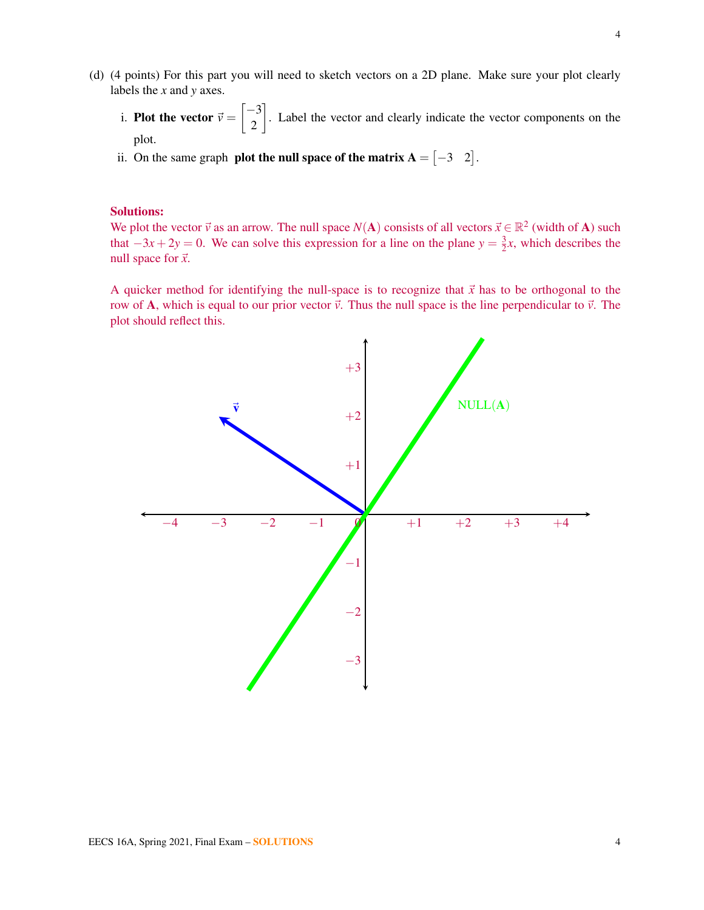- (d) (4 points) For this part you will need to sketch vectors on a 2D plane. Make sure your plot clearly labels the *x* and *y* axes.
	- i. **Plot the vector**  $\vec{v} = \begin{bmatrix} -3 \\ 2 \end{bmatrix}$ 2 . Label the vector and clearly indicate the vector components on the plot.
	- ii. On the same graph **plot the null space of the matrix**  $A = \begin{bmatrix} -3 & 2 \end{bmatrix}$ **.**

#### Solutions:

We plot the vector  $\vec{v}$  as an arrow. The null space *N*(**A**) consists of all vectors  $\vec{x} \in \mathbb{R}^2$  (width of **A**) such that  $-3x + 2y = 0$ . We can solve this expression for a line on the plane  $y = \frac{3}{2}$  $\frac{3}{2}x$ , which describes the null space for  $\vec{x}$ .

A quicker method for identifying the null-space is to recognize that  $\vec{x}$  has to be orthogonal to the row of A, which is equal to our prior vector  $\vec{v}$ . Thus the null space is the line perpendicular to  $\vec{v}$ . The plot should reflect this.

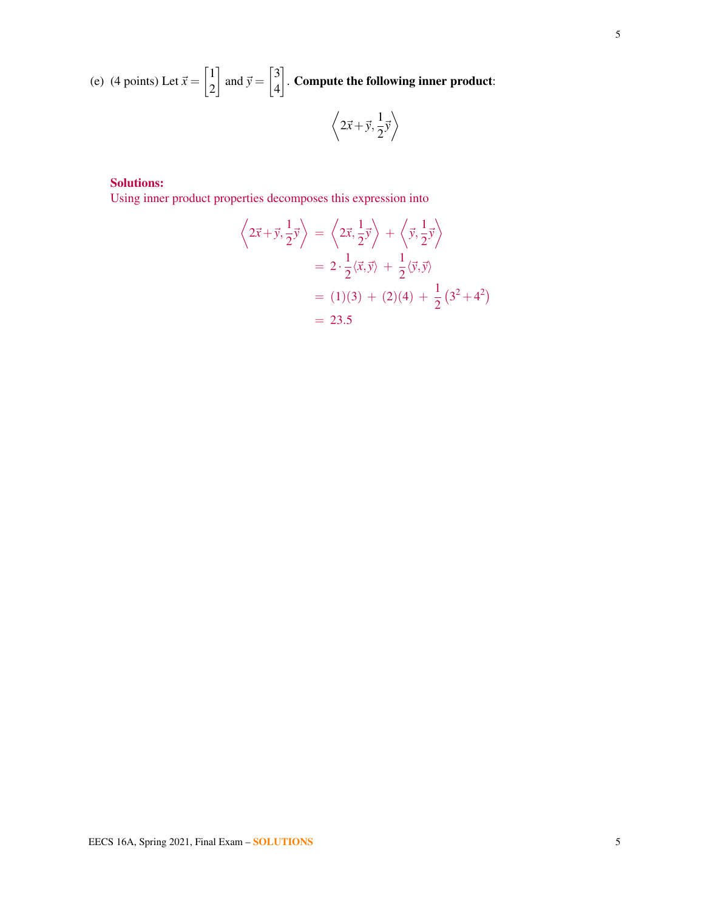(e) (4 points) Let  $\vec{x} = \begin{bmatrix} 1 \\ 2 \end{bmatrix}$ 2 and  $\vec{y} = \begin{bmatrix} 3 \\ 4 \end{bmatrix}$ 4  $\big]$  . Compute the following inner product:

$$
\left\langle 2\vec{x} + \vec{y}, \frac{1}{2}\vec{y} \right\rangle
$$

# Solutions:

Using inner product properties decomposes this expression into

$$
\left\langle 2\vec{x} + \vec{y}, \frac{1}{2}\vec{y} \right\rangle = \left\langle 2\vec{x}, \frac{1}{2}\vec{y} \right\rangle + \left\langle \vec{y}, \frac{1}{2}\vec{y} \right\rangle
$$
  
=  $2 \cdot \frac{1}{2} \langle \vec{x}, \vec{y} \rangle + \frac{1}{2} \langle \vec{y}, \vec{y} \rangle$   
=  $(1)(3) + (2)(4) + \frac{1}{2} (3^2 + 4^2)$   
= 23.5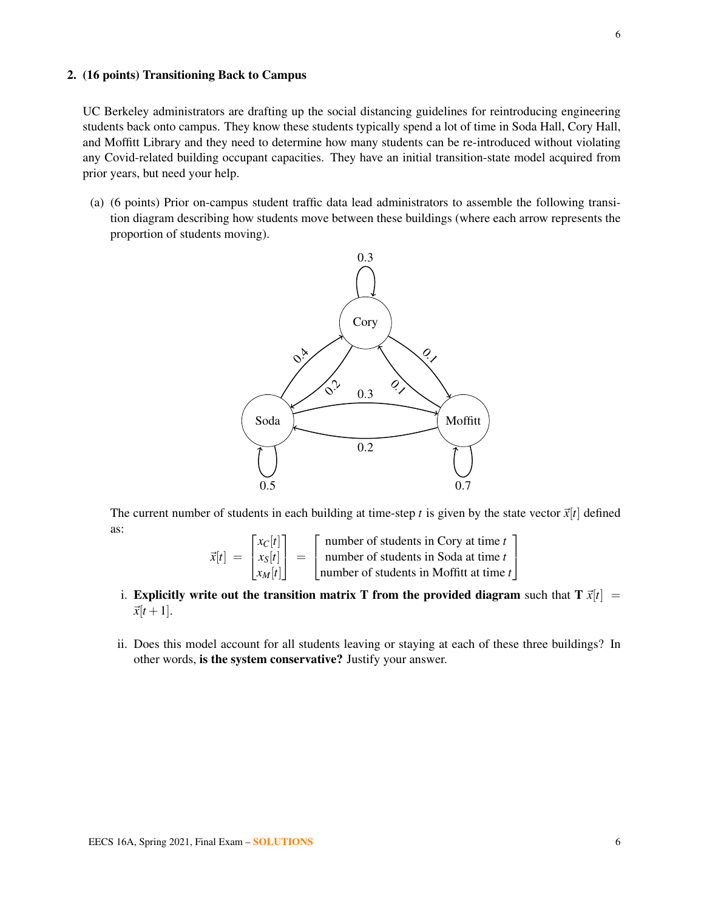# 2. (16 points) Transitioning Back to Campus

UC Berkeley administrators are drafting up the social distancing guidelines for reintroducing engineering students back onto campus. They know these students typically spend a lot of time in Soda Hall, Cory Hall, and Moffitt Library and they need to determine how many students can be re-introduced without violating any Covid-related building occupant capacities. They have an initial transition-state model acquired from prior years, but need your help.

(a) (6 points) Prior on-campus student traffic data lead administrators to assemble the following transition diagram describing how students move between these buildings (where each arrow represents the proportion of students moving).



The current number of students in each building at time-step *t* is given by the state vector  $\vec{x}[t]$  defined as:

$$
\vec{x}[t] = \begin{bmatrix} x_C[t] \\ x_S[t] \\ x_M[t] \end{bmatrix} = \begin{bmatrix} \text{number of students in Cory at time } t \\ \text{number of students in Soda at time } t \\ \text{number of students in Moffitt at time } t \end{bmatrix}
$$

- i. Explicitly write out the transition matrix T from the provided diagram such that  $T \vec{x}[t] =$  $\vec{x}[t+1]$ .
- ii. Does this model account for all students leaving or staying at each of these three buildings? In other words, is the system conservative? Justify your answer.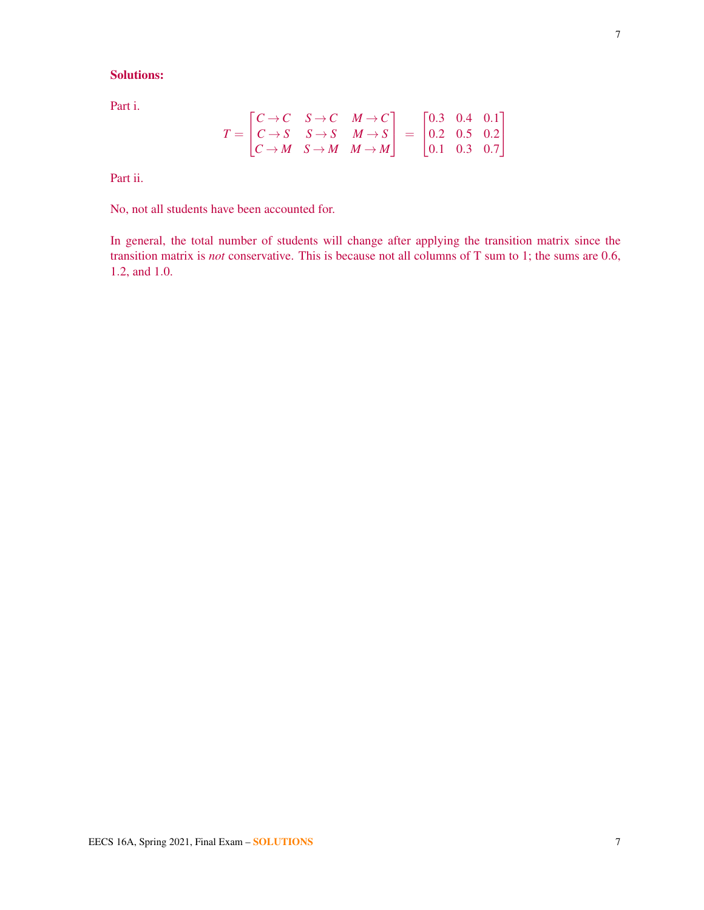# Solutions:

Part i.

$$
T = \begin{bmatrix} C \to C & S \to C & M \to C \\ C \to S & S \to S & M \to S \\ C \to M & S \to M & M \to M \end{bmatrix} = \begin{bmatrix} 0.3 & 0.4 & 0.1 \\ 0.2 & 0.5 & 0.2 \\ 0.1 & 0.3 & 0.7 \end{bmatrix}
$$

Part ii.

No, not all students have been accounted for.

In general, the total number of students will change after applying the transition matrix since the transition matrix is *not* conservative. This is because not all columns of T sum to 1; the sums are 0.6, 1.2, and 1.0.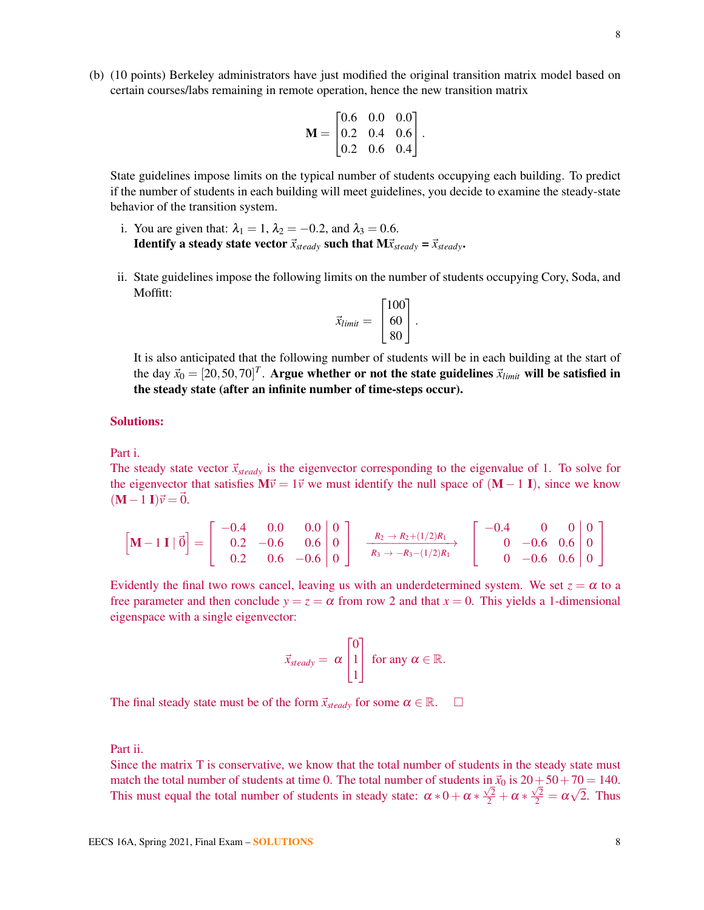(b) (10 points) Berkeley administrators have just modified the original transition matrix model based on certain courses/labs remaining in remote operation, hence the new transition matrix

$$
\mathbf{M} = \begin{bmatrix} 0.6 & 0.0 & 0.0 \\ 0.2 & 0.4 & 0.6 \\ 0.2 & 0.6 & 0.4 \end{bmatrix}.
$$

State guidelines impose limits on the typical number of students occupying each building. To predict if the number of students in each building will meet guidelines, you decide to examine the steady-state behavior of the transition system.

- i. You are given that:  $\lambda_1 = 1$ ,  $\lambda_2 = -0.2$ , and  $\lambda_3 = 0.6$ . **Identify a steady state vector**  $\vec{x}_{steady}$  such that  $M\vec{x}_{steady} = \vec{x}_{steady}$ .
- ii. State guidelines impose the following limits on the number of students occupying Cory, Soda, and Moffitt:

$$
\vec{x}_{limit} = \begin{bmatrix} 100 \\ 60 \\ 80 \end{bmatrix}.
$$

It is also anticipated that the following number of students will be in each building at the start of the day  $\vec{x}_0 = [20, 50, 70]^T$ . Argue whether or not the state guidelines  $\vec{x}_{limit}$  will be satisfied in the steady state (after an infinite number of time-steps occur).

#### Solutions:

Part i.

The steady state vector  $\vec{x}_{steady}$  is the eigenvector corresponding to the eigenvalue of 1. To solve for the eigenvector that satisfies  $M\vec{v} = 1\vec{v}$  we must identify the null space of  $(M - 1 I)$ , since we know  $(M-1 I)\vec{v} = 0.$ 

$$
\begin{bmatrix} \mathbf{M} - 1 \mathbf{I} \mid \vec{0} \end{bmatrix} = \begin{bmatrix} -0.4 & 0.0 & 0.0 & 0 \\ 0.2 & -0.6 & 0.6 & 0 \\ 0.2 & 0.6 & -0.6 & 0 \end{bmatrix} \xrightarrow[R_3 \to -R_3 - (1/2)R_1]{R_2 \to R_2 + (1/2)R_1} \begin{bmatrix} -0.4 & 0 & 0 & 0 \\ 0 & -0.6 & 0.6 & 0 \\ 0 & -0.6 & 0.6 & 0 \end{bmatrix} \xrightarrow{0}
$$

Evidently the final two rows cancel, leaving us with an underdetermined system. We set  $z = \alpha$  to a free parameter and then conclude  $y = z = \alpha$  from row 2 and that  $x = 0$ . This yields a 1-dimensional eigenspace with a single eigenvector:

$$
\vec{x}_{steady} = \alpha \begin{bmatrix} 0 \\ 1 \\ 1 \end{bmatrix} \text{ for any } \alpha \in \mathbb{R}.
$$

The final steady state must be of the form  $\vec{x}_{steady}$  for some  $\alpha \in \mathbb{R}$ .  $\Box$ 

Part ii.

Since the matrix T is conservative, we know that the total number of students in the steady state must match the total number of students at time 0. The total number of students in  $\vec{x}_0$  is  $20+50+70 = 140$ . This must equal the total number of students in steady state:  $\alpha * 0 + \alpha * \frac{\sqrt{2}}{2} + \alpha * \frac{\sqrt{2}}{2} = \alpha$ √ 2. Thus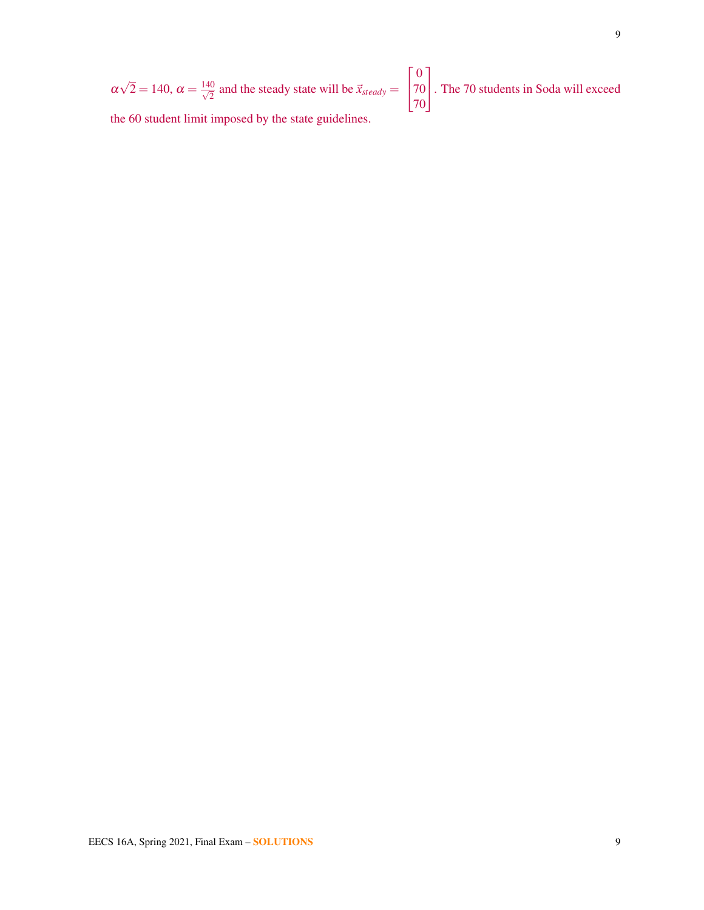$$
\alpha\sqrt{2} = 140
$$
,  $\alpha = \frac{140}{\sqrt{2}}$  and the steady state will be  $\vec{x}_{steady} = \begin{bmatrix} 0 \\ 70 \\ 70 \end{bmatrix}$ . The 70 students in Soda will exceed the 60 student limit imposed by the state guidelines.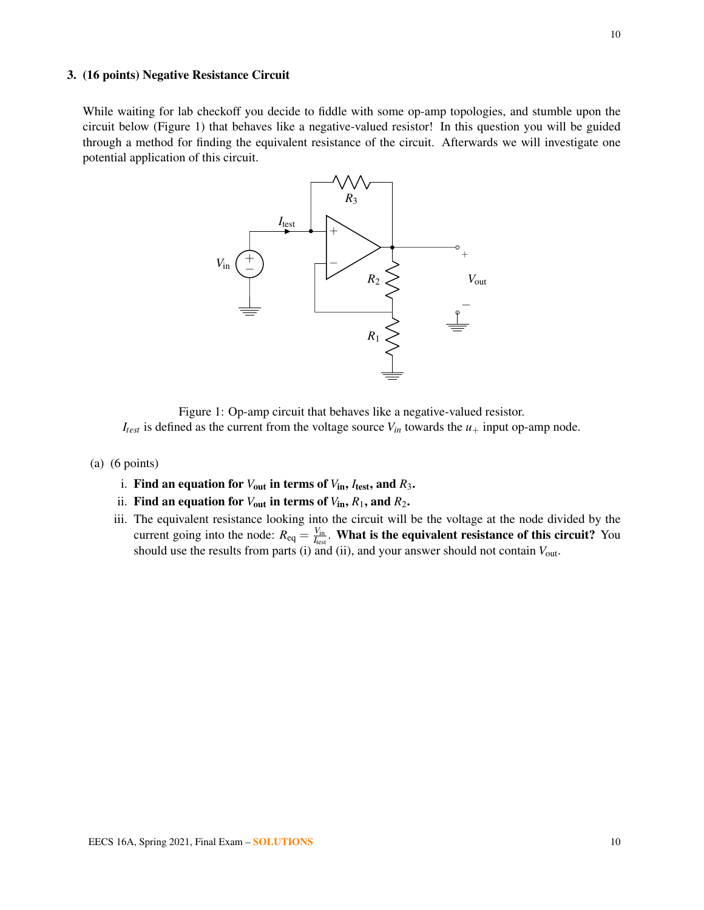#### 3. (16 points) Negative Resistance Circuit

<span id="page-9-0"></span>While waiting for lab checkoff you decide to fiddle with some op-amp topologies, and stumble upon the circuit below (Figure [1\)](#page-9-0) that behaves like a negative-valued resistor! In this question you will be guided through a method for finding the equivalent resistance of the circuit. Afterwards we will investigate one potential application of this circuit.



Figure 1: Op-amp circuit that behaves like a negative-valued resistor.

 $I_{test}$  is defined as the current from the voltage source  $V_{in}$  towards the  $u_+$  input op-amp node.

- (a) (6 points)
	- i. Find an equation for  $V_{\text{out}}$  in terms of  $V_{\text{in}}$ ,  $I_{\text{test}}$ , and  $R_3$ .
	- ii. Find an equation for  $V_{\text{out}}$  in terms of  $V_{\text{in}}$ ,  $R_1$ , and  $R_2$ .
	- iii. The equivalent resistance looking into the circuit will be the voltage at the node divided by the current going into the node:  $R_{eq} = \frac{V_{in}}{I_{per}}$  $\frac{V_{\text{in}}}{I_{\text{test}}}$ . **What is the equivalent resistance of this circuit?** You should use the results from parts (i) and (ii), and your answer should not contain *V*out.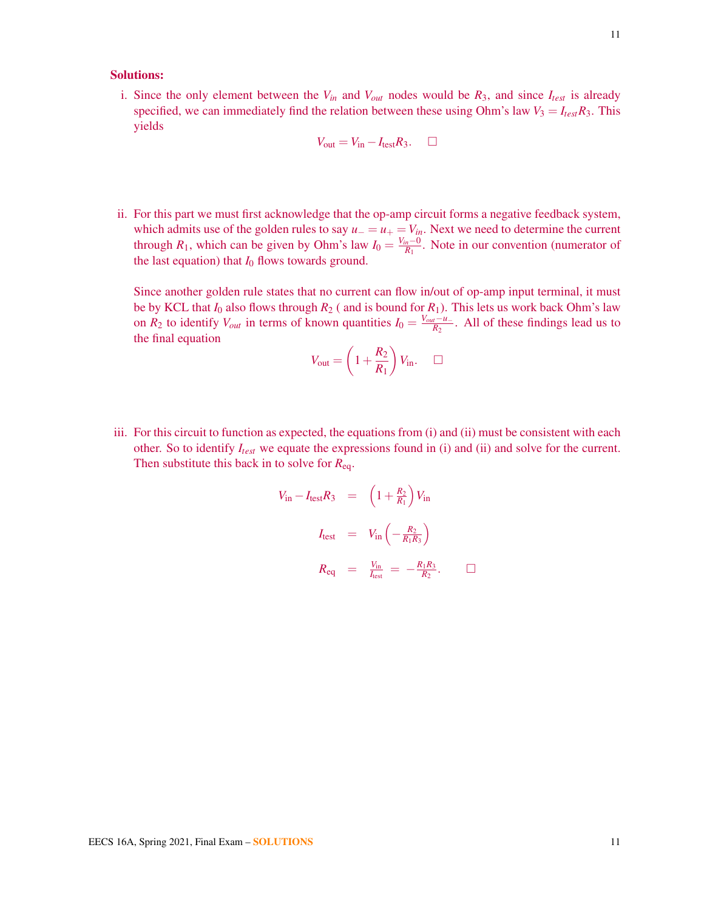# Solutions:

i. Since the only element between the  $V_{in}$  and  $V_{out}$  nodes would be  $R_3$ , and since  $I_{test}$  is already specified, we can immediately find the relation between these using Ohm's law  $V_3 = I_{test}R_3$ . This yields

$$
V_{\text{out}} = V_{\text{in}} - I_{\text{test}} R_3. \quad \Box
$$

ii. For this part we must first acknowledge that the op-amp circuit forms a negative feedback system, which admits use of the golden rules to say  $u_-=u_+=V_{in}$ . Next we need to determine the current through *R*<sub>1</sub>, which can be given by Ohm's law  $I_0 = \frac{V_{in} - 0}{R_1}$  $\frac{n^{-1}}{R_1}$ . Note in our convention (numerator of the last equation) that  $I_0$  flows towards ground.

Since another golden rule states that no current can flow in/out of op-amp input terminal, it must be by KCL that  $I_0$  also flows through  $R_2$  ( and is bound for  $R_1$ ). This lets us work back Ohm's law on  $R_2$  to identify  $V_{out}$  in terms of known quantities  $I_0 = \frac{V_{out} - u}{R_2}$  $\frac{n-u}{R_2}$ . All of these findings lead us to the final equation

$$
V_{\text{out}} = \left(1 + \frac{R_2}{R_1}\right) V_{\text{in}}.\quad \Box
$$

iii. For this circuit to function as expected, the equations from (i) and (ii) must be consistent with each other. So to identify *Itest* we equate the expressions found in (i) and (ii) and solve for the current. Then substitute this back in to solve for *R*eq.

$$
V_{\text{in}} - I_{\text{test}}R_3 = \left(1 + \frac{R_2}{R_1}\right) V_{\text{in}}
$$
  

$$
I_{\text{test}} = V_{\text{in}} \left(-\frac{R_2}{R_1 R_3}\right)
$$
  

$$
R_{\text{eq}} = \frac{V_{\text{in}}}{I_{\text{test}}} = -\frac{R_1 R_3}{R_2}. \qquad \Box
$$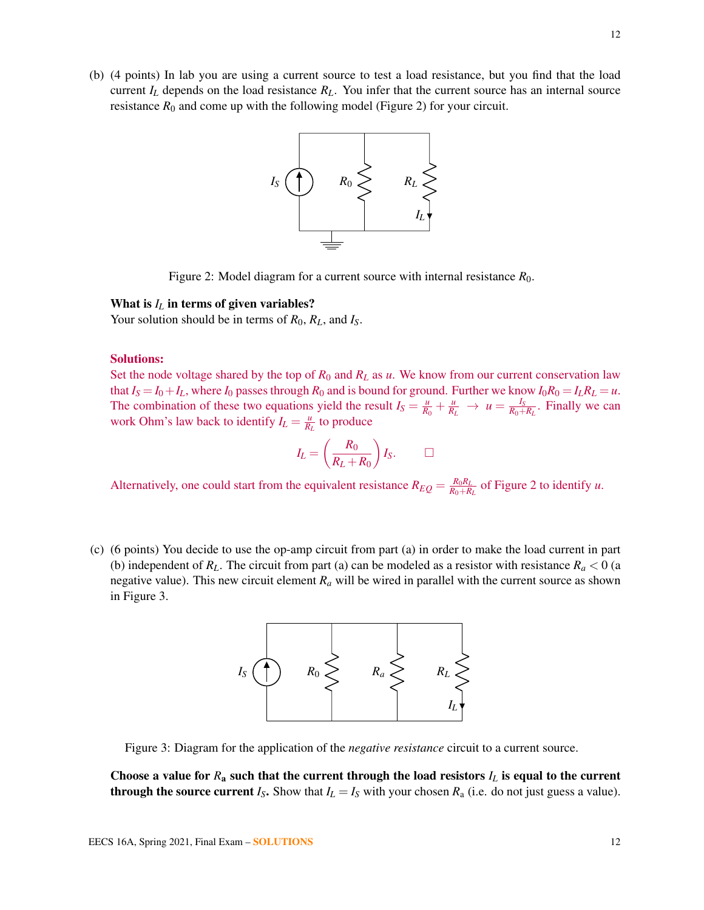<span id="page-11-0"></span>(b) (4 points) In lab you are using a current source to test a load resistance, but you find that the load current  $I_L$  depends on the load resistance  $R_L$ . You infer that the current source has an internal source resistance  $R_0$  and come up with the following model (Figure [2\)](#page-11-0) for your circuit.



Figure 2: Model diagram for a current source with internal resistance *R*0.

#### What is  $I_L$  in terms of given variables?

Your solution should be in terms of *R*0, *RL*, and *IS*.

#### Solutions:

Set the node voltage shared by the top of  $R_0$  and  $R_L$  as  $u$ . We know from our current conservation law that  $I_S = I_0 + I_L$ , where  $I_0$  passes through  $R_0$  and is bound for ground. Further we know  $I_0R_0 = I_LR_L = u$ . The combination of these two equations yield the result  $I_S = \frac{u}{R}$  $\frac{u}{R_0} + \frac{u}{R_L} \rightarrow u = \frac{I_S}{R_0 + \frac{u}{R_R}}$  $\frac{I_S}{R_0+R_L}$ . Finally we can work Ohm's law back to identify  $I_L = \frac{u}{R}$  $\frac{u}{R_L}$  to produce

$$
I_L = \left(\frac{R_0}{R_L + R_0}\right)I_S. \qquad \Box
$$

Alternatively, one could start from the equivalent resistance  $R_{EQ} = \frac{R_0 R_L}{R_0 + R_0 R_1}$  $\frac{R_0R_L}{R_0+R_L}$  of Figure [2](#page-11-0) to identify *u*.

<span id="page-11-1"></span>(c) (6 points) You decide to use the op-amp circuit from part (a) in order to make the load current in part (b) independent of  $R_L$ . The circuit from part (a) can be modeled as a resistor with resistance  $R_a < 0$  (a negative value). This new circuit element  $R_a$  will be wired in parallel with the current source as shown in Figure [3.](#page-11-1)



Figure 3: Diagram for the application of the *negative resistance* circuit to a current source.

Choose a value for  $R_a$  such that the current through the load resistors  $I_L$  is equal to the current **through the source current**  $I_S$ . Show that  $I_L = I_S$  with your chosen  $R_a$  (i.e. do not just guess a value).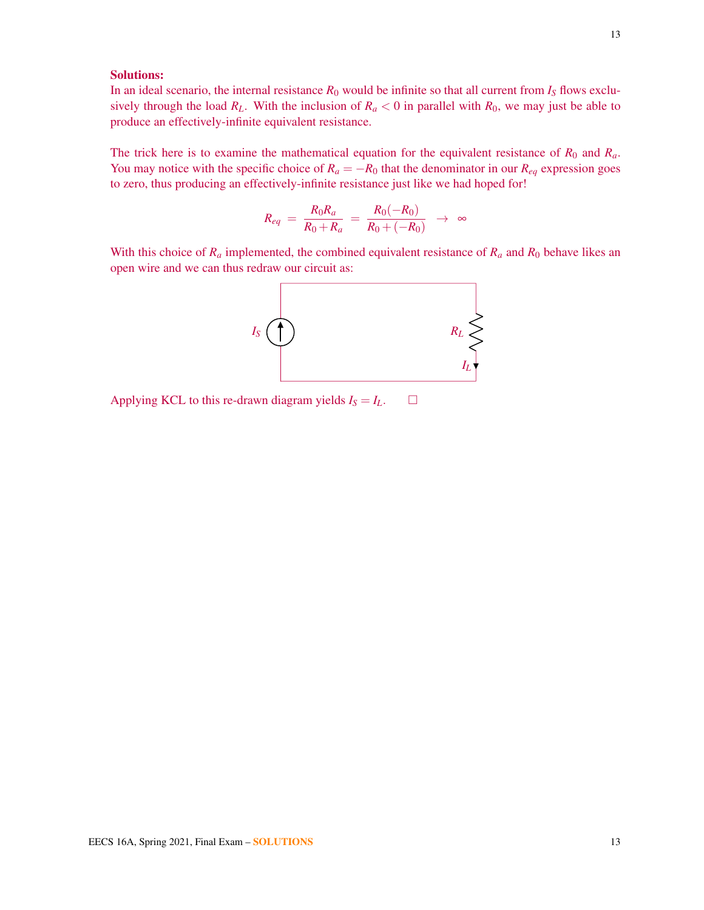# Solutions:

In an ideal scenario, the internal resistance  $R_0$  would be infinite so that all current from  $I_s$  flows exclusively through the load  $R_L$ . With the inclusion of  $R_a < 0$  in parallel with  $R_0$ , we may just be able to produce an effectively-infinite equivalent resistance.

The trick here is to examine the mathematical equation for the equivalent resistance of  $R_0$  and  $R_a$ . You may notice with the specific choice of  $R_a = -R_0$  that the denominator in our  $R_{eq}$  expression goes to zero, thus producing an effectively-infinite resistance just like we had hoped for!

$$
R_{eq} \, = \, \frac{R_0 R_a}{R_0 + R_a} \, = \, \frac{R_0 (-R_0)}{R_0 + (-R_0)} \, \, \rightarrow \, \, \infty
$$

With this choice of  $R_a$  implemented, the combined equivalent resistance of  $R_a$  and  $R_0$  behave likes an open wire and we can thus redraw our circuit as:



Applying KCL to this re-drawn diagram yields  $I_S = I_L$ .  $\Box$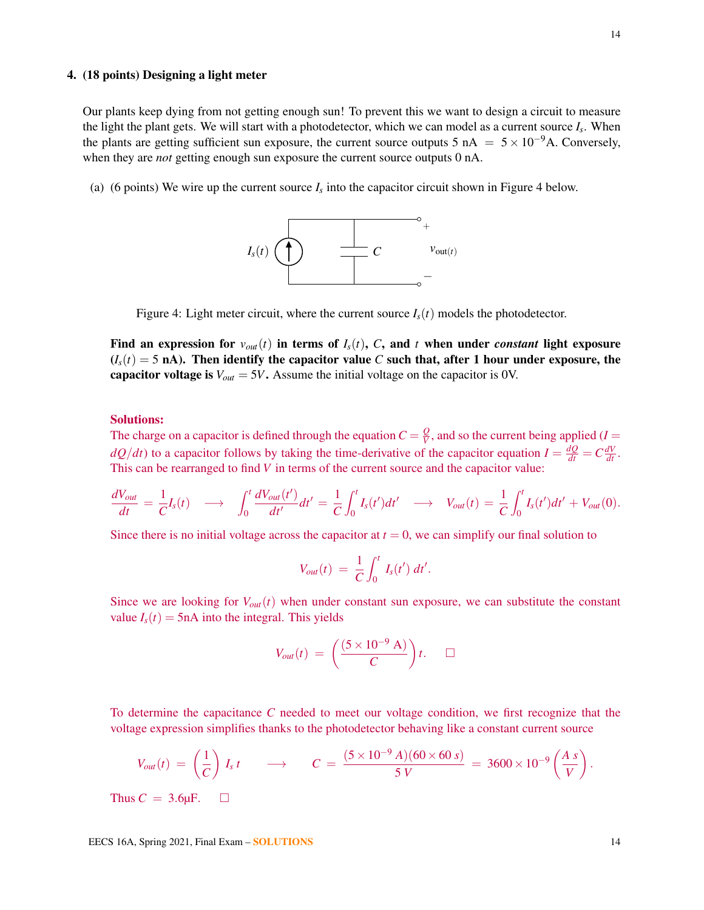#### 4. (18 points) Designing a light meter

Our plants keep dying from not getting enough sun! To prevent this we want to design a circuit to measure the light the plant gets. We will start with a photodetector, which we can model as a current source *I<sup>s</sup>* . When the plants are getting sufficient sun exposure, the current source outputs 5 nA =  $5 \times 10^{-9}$ A. Conversely, when they are *not* getting enough sun exposure the current source outputs 0 nA.

<span id="page-13-0"></span>(a) (6 points) We wire up the current source  $I_s$  into the capacitor circuit shown in Figure [4](#page-13-0) below.



Figure 4: Light meter circuit, where the current source  $I_s(t)$  models the photodetector.

Find an expression for  $v_{out}(t)$  in terms of  $I_s(t)$ , C, and t when under *constant* light exposure  $(I_s(t) = 5 \text{ nA})$ . Then identify the capacitor value *C* such that, after 1 hour under exposure, the capacitor voltage is  $V_{out} = 5V$ . Assume the initial voltage on the capacitor is 0V.

#### Solutions:

The charge on a capacitor is defined through the equation  $C = \frac{Q}{V}$  $\frac{Q}{V}$ , and so the current being applied (*I* =  $dQ/dt$ ) to a capacitor follows by taking the time-derivative of the capacitor equation  $I = \frac{dQ}{dt} = C\frac{dV}{dt}$ . This can be rearranged to find *V* in terms of the current source and the capacitor value:

$$
\frac{dV_{out}}{dt} = \frac{1}{C}I_s(t) \longrightarrow \int_0^t \frac{dV_{out}(t')}{dt'}dt' = \frac{1}{C}\int_0^t I_s(t')dt' \longrightarrow V_{out}(t) = \frac{1}{C}\int_0^t I_s(t')dt' + V_{out}(0).
$$

Since there is no initial voltage across the capacitor at  $t = 0$ , we can simplify our final solution to

$$
V_{out}(t) = \frac{1}{C} \int_0^t I_s(t') dt'.
$$

Since we are looking for  $V_{out}(t)$  when under constant sun exposure, we can substitute the constant value  $I_s(t) = 5nA$  into the integral. This yields

$$
V_{out}(t) = \left(\frac{(5 \times 10^{-9} \text{ A})}{C}\right)t. \quad \Box
$$

To determine the capacitance *C* needed to meet our voltage condition, we first recognize that the voltage expression simplifies thanks to the photodetector behaving like a constant current source

$$
V_{out}(t) = \left(\frac{1}{C}\right) I_s t \longrightarrow C = \frac{(5 \times 10^{-9} A)(60 \times 60 s)}{5 V} = 3600 \times 10^{-9} \left(\frac{A s}{V}\right).
$$
  
Thus  $C = 3.6 \mu F.$ 

EECS 16A, Spring 2021, Final Exam – SOLUTIONS 14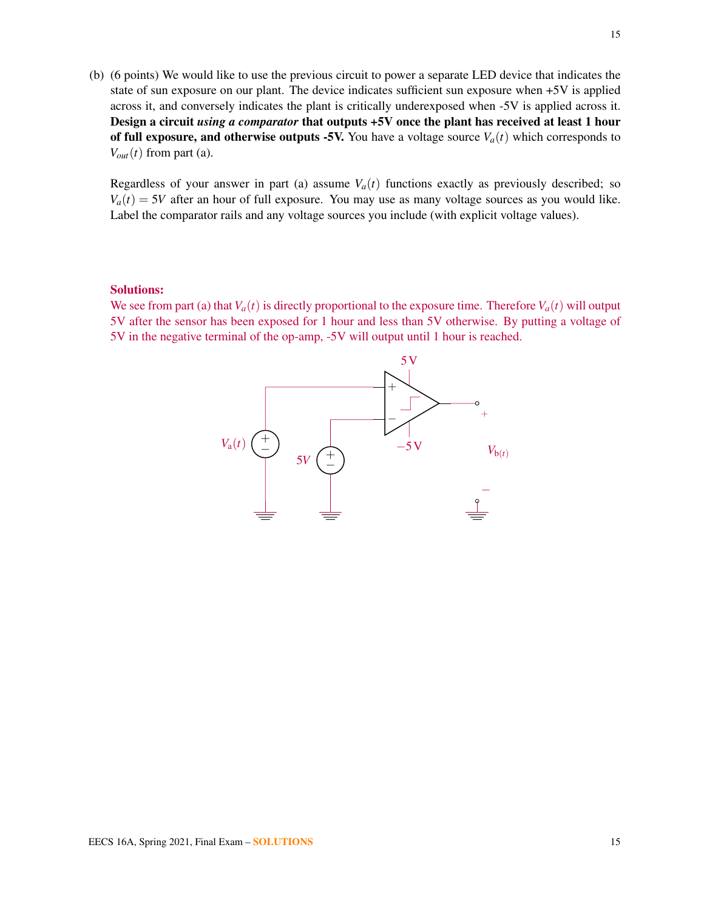(b) (6 points) We would like to use the previous circuit to power a separate LED device that indicates the state of sun exposure on our plant. The device indicates sufficient sun exposure when +5V is applied across it, and conversely indicates the plant is critically underexposed when -5V is applied across it. Design a circuit *using a comparator* that outputs +5V once the plant has received at least 1 hour of full exposure, and otherwise outputs -5V. You have a voltage source  $V_a(t)$  which corresponds to  $V_{out}(t)$  from part (a).

Regardless of your answer in part (a) assume  $V_a(t)$  functions exactly as previously described; so  $V_a(t) = 5V$  after an hour of full exposure. You may use as many voltage sources as you would like. Label the comparator rails and any voltage sources you include (with explicit voltage values).

#### Solutions:

We see from part (a) that  $V_a(t)$  is directly proportional to the exposure time. Therefore  $V_a(t)$  will output 5V after the sensor has been exposed for 1 hour and less than 5V otherwise. By putting a voltage of 5V in the negative terminal of the op-amp, -5V will output until 1 hour is reached.

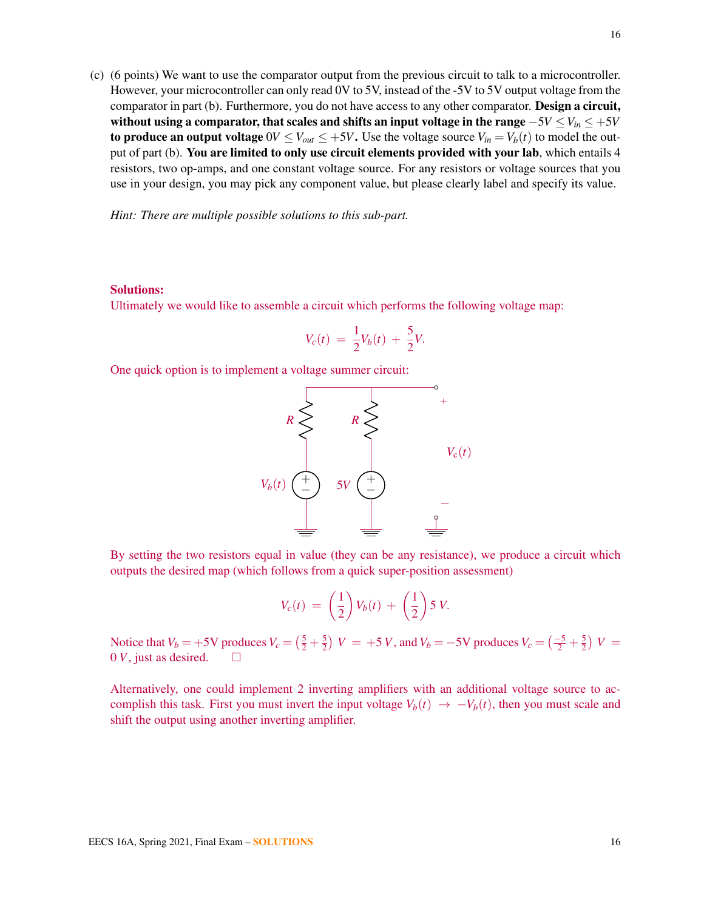(c) (6 points) We want to use the comparator output from the previous circuit to talk to a microcontroller. However, your microcontroller can only read 0V to 5V, instead of the -5V to 5V output voltage from the comparator in part (b). Furthermore, you do not have access to any other comparator. Design a circuit, without using a comparator, that scales and shifts an input voltage in the range −5*V* ≤*Vin* ≤ +5*V* to produce an output voltage  $0V \leq V_{out} \leq +5V$ . Use the voltage source  $V_{in} = V_b(t)$  to model the output of part (b). You are limited to only use circuit elements provided with your lab, which entails 4 resistors, two op-amps, and one constant voltage source. For any resistors or voltage sources that you use in your design, you may pick any component value, but please clearly label and specify its value.

*Hint: There are multiple possible solutions to this sub-part.*

#### Solutions:

Ultimately we would like to assemble a circuit which performs the following voltage map:

$$
V_c(t) = \frac{1}{2}V_b(t) + \frac{5}{2}V.
$$

One quick option is to implement a voltage summer circuit:



By setting the two resistors equal in value (they can be any resistance), we produce a circuit which outputs the desired map (which follows from a quick super-position assessment)

$$
V_c(t) = \left(\frac{1}{2}\right) V_b(t) + \left(\frac{1}{2}\right) 5 V.
$$

Notice that  $V_b = +5V$  produces  $V_c = (\frac{5}{2} + \frac{5}{2})$  $\frac{5}{2}$ )  $V = +5 V$ , and  $V_b = -5 V$  produces  $V_c = \left(\frac{-5}{2} + \frac{5}{2}\right)$  $(\frac{5}{2}) V =$  $0 V$ , just as desired.  $\square$ 

Alternatively, one could implement 2 inverting amplifiers with an additional voltage source to accomplish this task. First you must invert the input voltage  $V_b(t) \rightarrow -V_b(t)$ , then you must scale and shift the output using another inverting amplifier.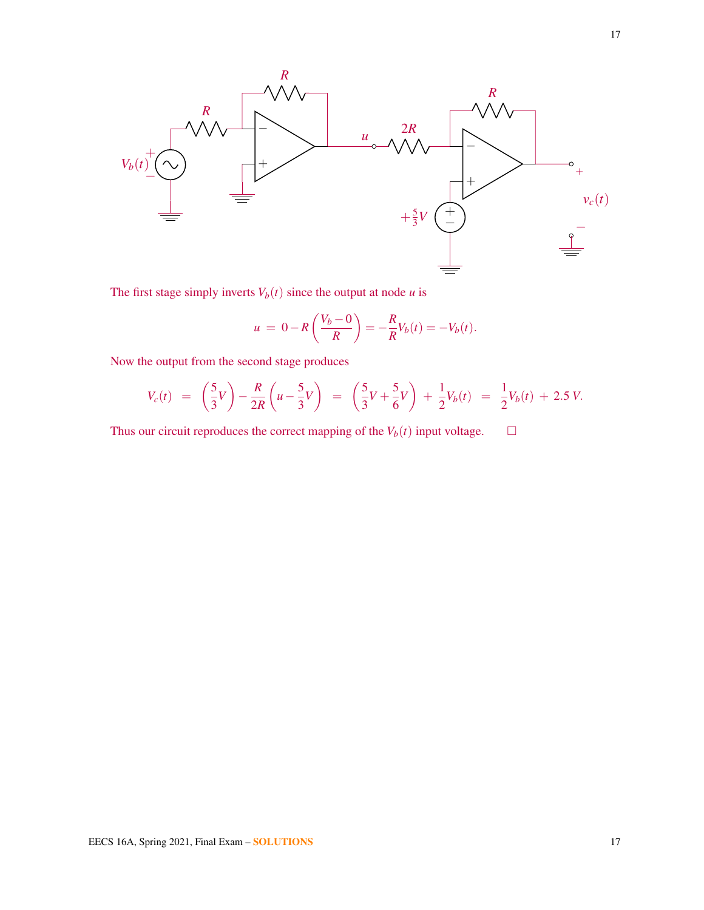

The first stage simply inverts  $V_b(t)$  since the output at node *u* is

$$
u = 0 - R\left(\frac{V_b - 0}{R}\right) = -\frac{R}{R}V_b(t) = -V_b(t).
$$

Now the output from the second stage produces

$$
V_c(t) = \left(\frac{5}{3}V\right) - \frac{R}{2R}\left(u - \frac{5}{3}V\right) = \left(\frac{5}{3}V + \frac{5}{6}V\right) + \frac{1}{2}V_b(t) = \frac{1}{2}V_b(t) + 2.5 V.
$$

Thus our circuit reproduces the correct mapping of the  $V_b(t)$  input voltage.  $\Box$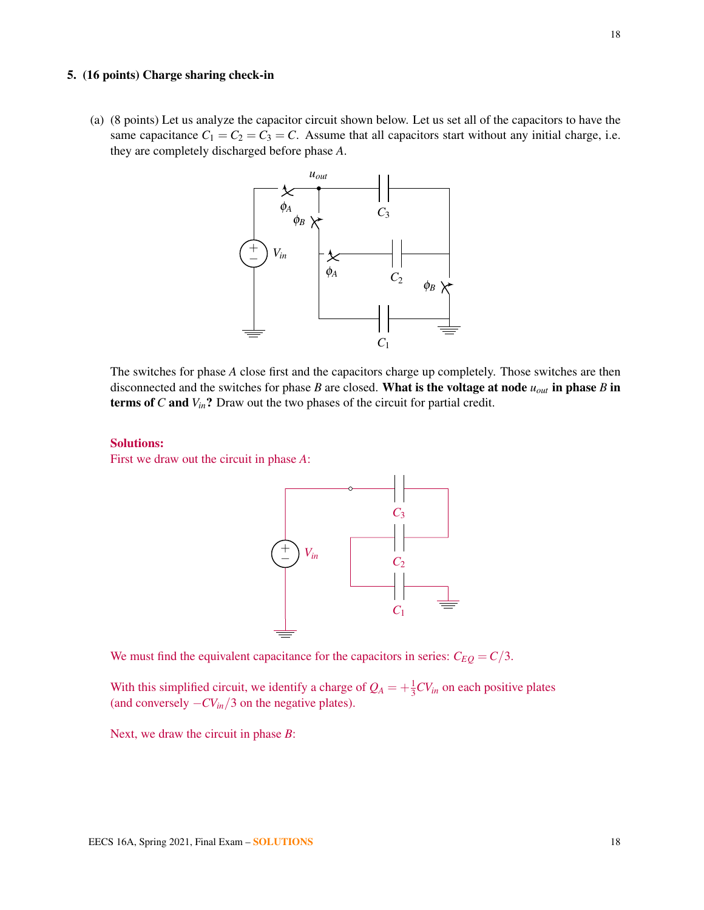#### 5. (16 points) Charge sharing check-in

(a) (8 points) Let us analyze the capacitor circuit shown below. Let us set all of the capacitors to have the same capacitance  $C_1 = C_2 = C_3 = C$ . Assume that all capacitors start without any initial charge, i.e. they are completely discharged before phase *A*.



The switches for phase *A* close first and the capacitors charge up completely. Those switches are then disconnected and the switches for phase *B* are closed. What is the voltage at node *uout* in phase *B* in terms of *C* and *Vin*? Draw out the two phases of the circuit for partial credit.

# Solutions:

First we draw out the circuit in phase *A*:



We must find the equivalent capacitance for the capacitors in series:  $C_{EQ} = C/3$ .

With this simplified circuit, we identify a charge of  $Q_A = +\frac{1}{3}CV_{in}$  on each positive plates (and conversely −*CVin*/3 on the negative plates).

Next, we draw the circuit in phase *B*: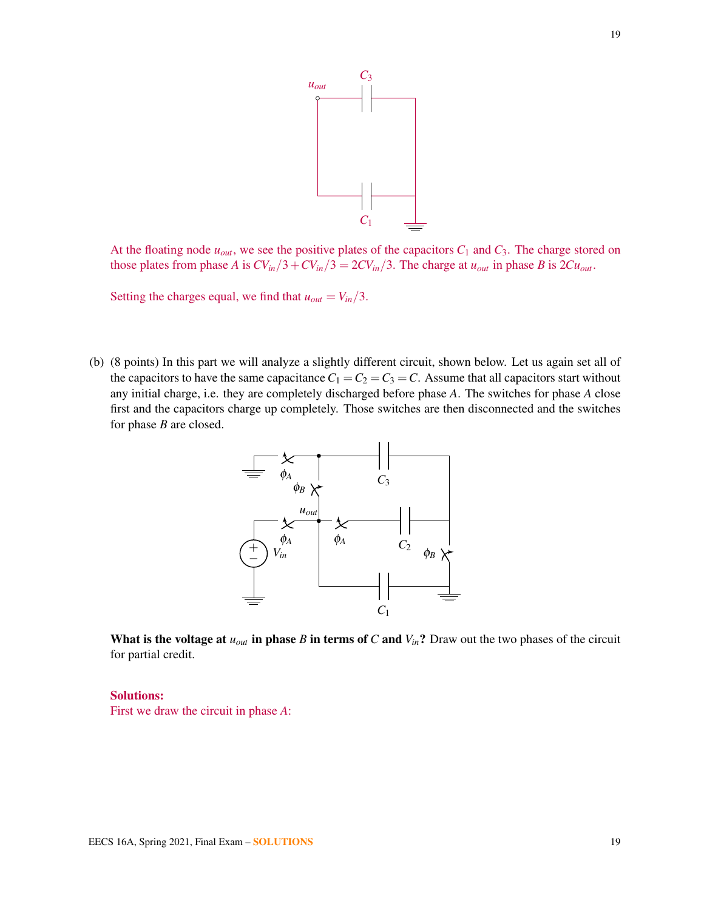

At the floating node  $u_{out}$ , we see the positive plates of the capacitors  $C_1$  and  $C_3$ . The charge stored on those plates from phase *A* is  $CV_{in}/3+CV_{in}/3 = 2CV_{in}/3$ . The charge at  $u_{out}$  in phase *B* is  $2Cu_{out}$ .

Setting the charges equal, we find that  $u_{out} = V_{in}/3$ .

(b) (8 points) In this part we will analyze a slightly different circuit, shown below. Let us again set all of the capacitors to have the same capacitance  $C_1 = C_2 = C_3 = C$ . Assume that all capacitors start without any initial charge, i.e. they are completely discharged before phase *A*. The switches for phase *A* close first and the capacitors charge up completely. Those switches are then disconnected and the switches for phase *B* are closed.



What is the voltage at  $u_{out}$  in phase *B* in terms of *C* and  $V_{in}$ ? Draw out the two phases of the circuit for partial credit.

#### Solutions:

First we draw the circuit in phase *A*: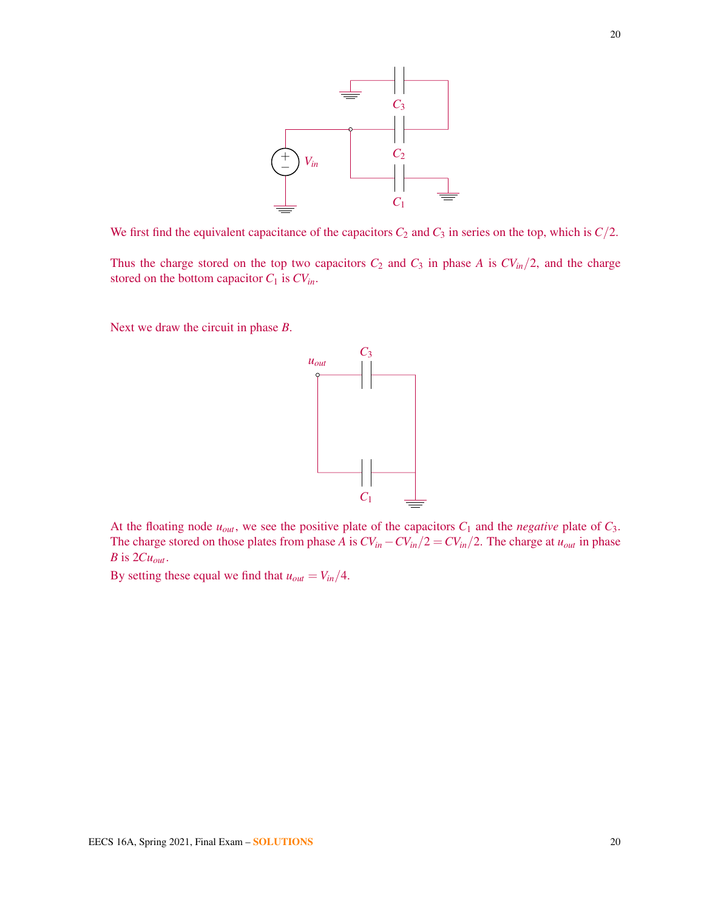

We first find the equivalent capacitance of the capacitors  $C_2$  and  $C_3$  in series on the top, which is  $C/2$ .

Thus the charge stored on the top two capacitors  $C_2$  and  $C_3$  in phase *A* is  $CV_{in}/2$ , and the charge stored on the bottom capacitor *C*<sup>1</sup> is *CVin*.

Next we draw the circuit in phase *B*.



At the floating node  $u_{out}$ , we see the positive plate of the capacitors  $C_1$  and the *negative* plate of  $C_3$ . The charge stored on those plates from phase *A* is  $CV_{in} - CV_{in}/2 = CV_{in}/2$ . The charge at  $u_{out}$  in phase *B* is  $2Cu_{out}$ .

By setting these equal we find that  $u_{out} = V_{in}/4$ .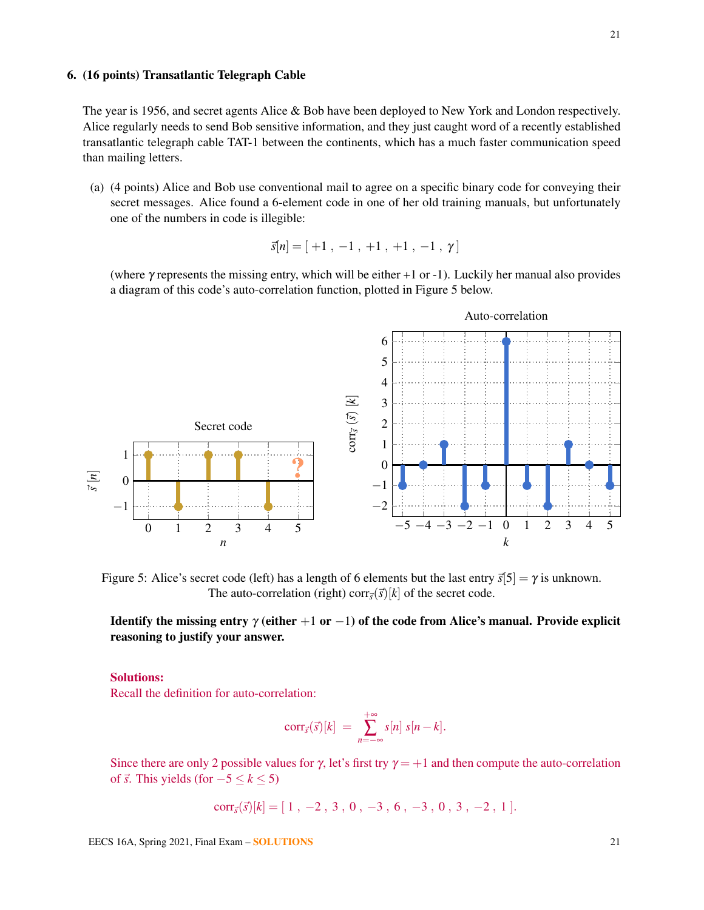# 6. (16 points) Transatlantic Telegraph Cable

The year is 1956, and secret agents Alice & Bob have been deployed to New York and London respectively. Alice regularly needs to send Bob sensitive information, and they just caught word of a recently established transatlantic telegraph cable TAT-1 between the continents, which has a much faster communication speed than mailing letters.

(a) (4 points) Alice and Bob use conventional mail to agree on a specific binary code for conveying their secret messages. Alice found a 6-element code in one of her old training manuals, but unfortunately one of the numbers in code is illegible:

$$
\vec{s}[n] = [\ +1\ ,\ -1\ ,\ +1\ ,\ +1\ ,\ -1\ ,\ \gamma\ ]
$$

(where γ represents the missing entry, which will be either +1 or -1). Luckily her manual also provides a diagram of this code's auto-correlation function, plotted in Figure [5](#page-20-0) below.

<span id="page-20-0"></span>

Figure 5: Alice's secret code (left) has a length of 6 elements but the last entry  $\vec{s}[5] = \gamma$  is unknown. The auto-correlation (right) corr $\vec{s}$ ( $\vec{s}$ )[ $k$ ] of the secret code.

Identify the missing entry  $\gamma$  (either  $+1$  or  $-1$ ) of the code from Alice's manual. Provide explicit reasoning to justify your answer.

#### Solutions:

Recall the definition for auto-correlation:

$$
corr_{\vec{s}}(\vec{s})[k] = \sum_{n=-\infty}^{+\infty} s[n] s[n-k].
$$

Since there are only 2 possible values for  $\gamma$ , let's first try  $\gamma = +1$  and then compute the auto-correlation of  $\overrightarrow{s}$ . This yields (for  $-5 \le k \le 5$ )

$$
corr_{\vec{s}}(\vec{s})[k] = [1, -2, 3, 0, -3, 6, -3, 0, 3, -2, 1].
$$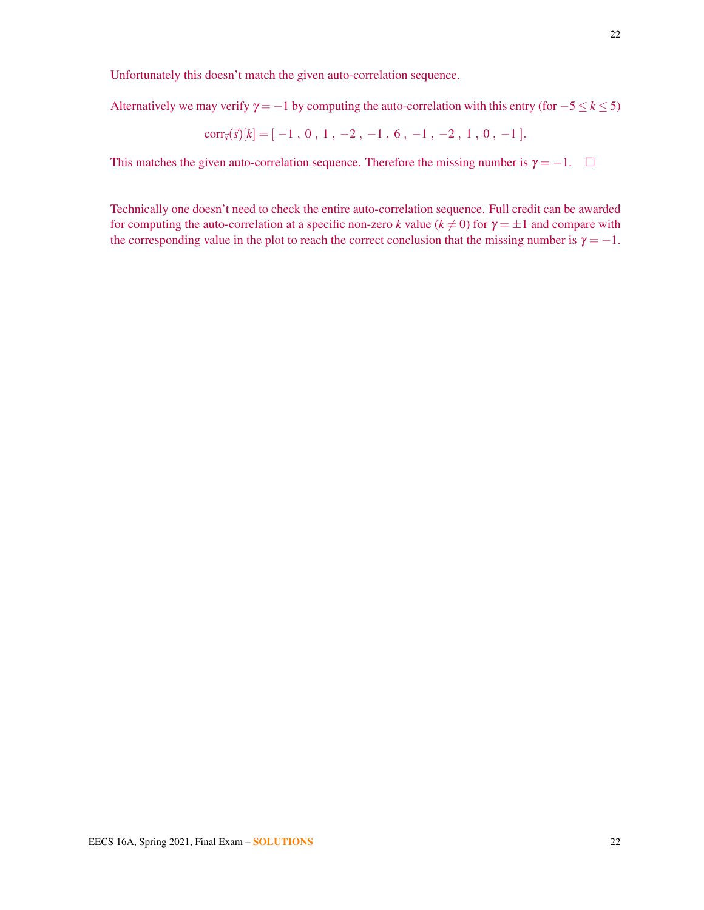Unfortunately this doesn't match the given auto-correlation sequence.

Alternatively we may verify  $\gamma = -1$  by computing the auto-correlation with this entry (for  $-5 \le k \le 5$ )

$$
corr_{\vec{s}}(\vec{s})[k] = [-1, 0, 1, -2, -1, 6, -1, -2, 1, 0, -1].
$$

This matches the given auto-correlation sequence. Therefore the missing number is  $\gamma = -1$ .  $\Box$ 

Technically one doesn't need to check the entire auto-correlation sequence. Full credit can be awarded for computing the auto-correlation at a specific non-zero *k* value ( $k \neq 0$ ) for  $\gamma = \pm 1$  and compare with the corresponding value in the plot to reach the correct conclusion that the missing number is  $\gamma = -1$ .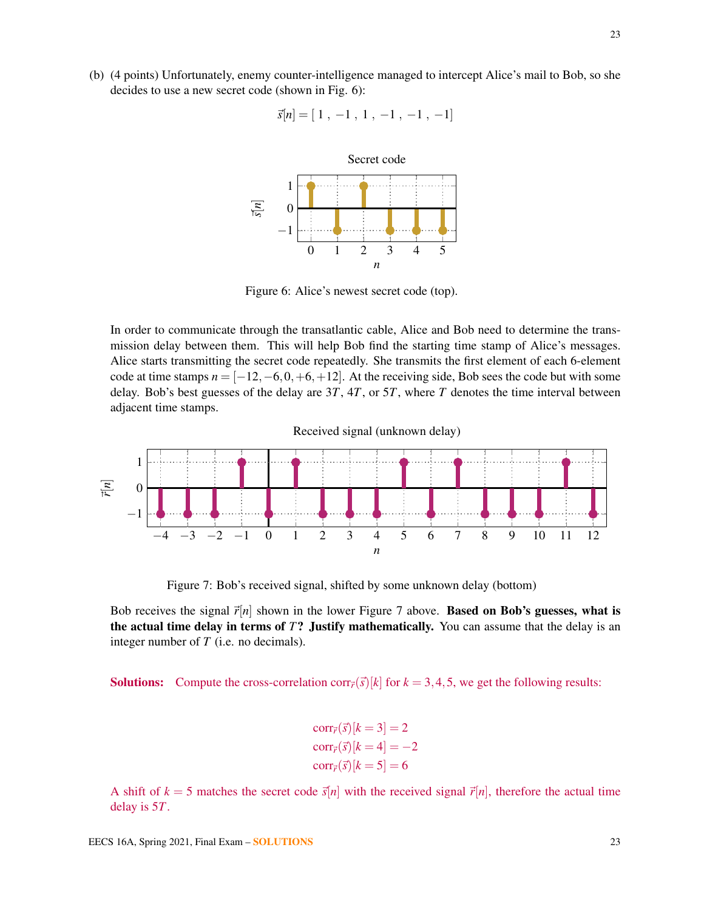<span id="page-22-0"></span>(b) (4 points) Unfortunately, enemy counter-intelligence managed to intercept Alice's mail to Bob, so she decides to use a new secret code (shown in Fig. [6\)](#page-22-0):

$$
\vec{s}[n] = [1, -1, 1, -1, -1, -1]
$$



Figure 6: Alice's newest secret code (top).

In order to communicate through the transatlantic cable, Alice and Bob need to determine the transmission delay between them. This will help Bob find the starting time stamp of Alice's messages. Alice starts transmitting the secret code repeatedly. She transmits the first element of each 6-element code at time stamps  $n = [-12, -6, 0, +6, +12]$ . At the receiving side, Bob sees the code but with some delay. Bob's best guesses of the delay are 3*T*, 4*T*, or 5*T*, where *T* denotes the time interval between adjacent time stamps.

<span id="page-22-1"></span>−4 −3 −2 −1 0 1 2 3 4 5 6 7 8 9 10 11 12 −1 0 1 *n* ~*r*[*n*] Received signal (unknown delay)

Figure 7: Bob's received signal, shifted by some unknown delay (bottom)

Bob receives the signal  $\vec{r}[n]$  shown in the lower Figure [7](#page-22-1) above. **Based on Bob's guesses, what is** the actual time delay in terms of *T*? Justify mathematically. You can assume that the delay is an integer number of *T* (i.e. no decimals).

**Solutions:** Compute the cross-correlation corr<sub> $\vec{r}$ </sub>( $\vec{s}$ )[*k*] for  $k = 3, 4, 5$ , we get the following results:

$$
corr_{\vec{r}}(\vec{s})[k=3] = 2
$$

$$
corr_{\vec{r}}(\vec{s})[k=4] = -2
$$

$$
corr_{\vec{r}}(\vec{s})[k=5] = 6
$$

A shift of  $k = 5$  matches the secret code  $\vec{s}[n]$  with the received signal  $\vec{r}[n]$ , therefore the actual time delay is 5*T*.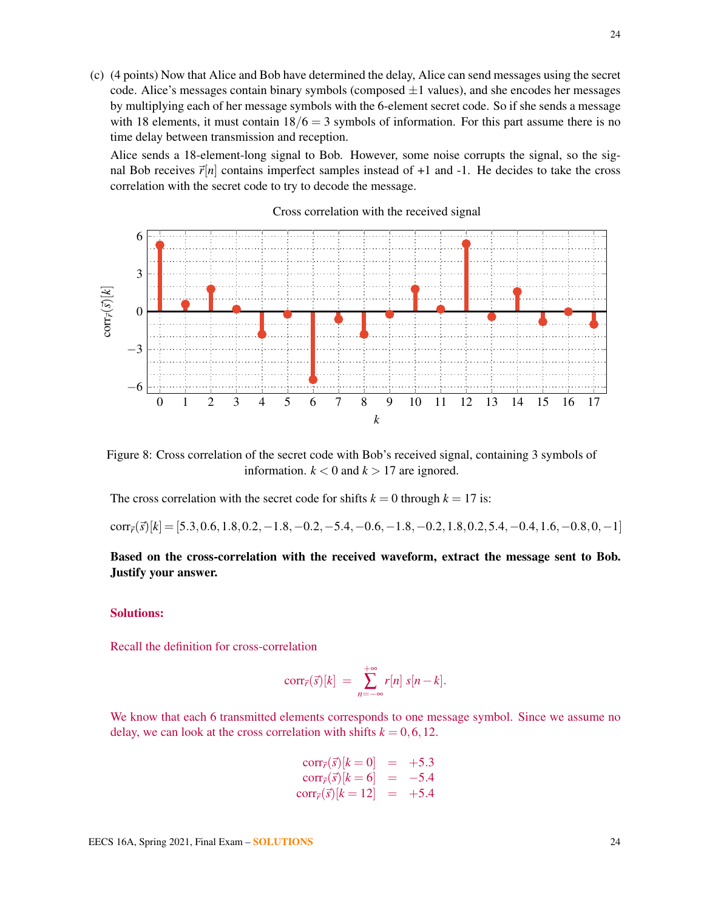(c) (4 points) Now that Alice and Bob have determined the delay, Alice can send messages using the secret code. Alice's messages contain binary symbols (composed  $\pm 1$  values), and she encodes her messages by multiplying each of her message symbols with the 6-element secret code. So if she sends a message with 18 elements, it must contain  $18/6 = 3$  symbols of information. For this part assume there is no time delay between transmission and reception.

Alice sends a 18-element-long signal to Bob. However, some noise corrupts the signal, so the signal Bob receives  $\vec{r}[n]$  contains imperfect samples instead of +1 and -1. He decides to take the cross correlation with the secret code to try to decode the message.



Figure 8: Cross correlation of the secret code with Bob's received signal, containing 3 symbols of information.  $k < 0$  and  $k > 17$  are ignored.

The cross correlation with the secret code for shifts  $k = 0$  through  $k = 17$  is:

 $corr_{\vec{r}}(\vec{s})[k] = [5.3, 0.6, 1.8, 0.2, -1.8, -0.2, -5.4, -0.6, -1.8, -0.2, 1.8, 0.2, 5.4, -0.4, 1.6, -0.8, 0, -1]$ 

# Based on the cross-correlation with the received waveform, extract the message sent to Bob. Justify your answer.

# Solutions:

Recall the definition for cross-correlation

$$
corr_{\vec{r}}(\vec{s})[k] = \sum_{n=-\infty}^{+\infty} r[n] s[n-k].
$$

We know that each 6 transmitted elements corresponds to one message symbol. Since we assume no delay, we can look at the cross correlation with shifts  $k = 0, 6, 12$ .

$$
\text{corr}_{\vec{r}}(\vec{s})[k=0] = +5.3\n\text{corr}_{\vec{r}}(\vec{s})[k=6] = -5.4\n\text{corr}_{\vec{r}}(\vec{s})[k=12] = +5.4
$$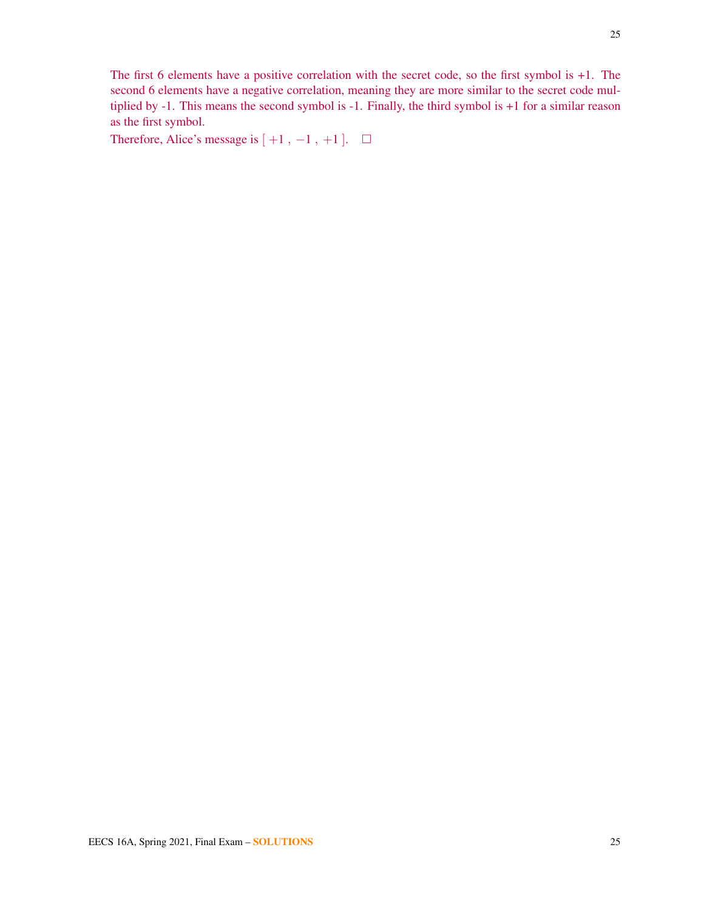The first 6 elements have a positive correlation with the secret code, so the first symbol is +1. The second 6 elements have a negative correlation, meaning they are more similar to the secret code multiplied by -1. This means the second symbol is -1. Finally, the third symbol is +1 for a similar reason as the first symbol.

Therefore, Alice's message is  $[ +1, -1, +1 ]$ .  $\Box$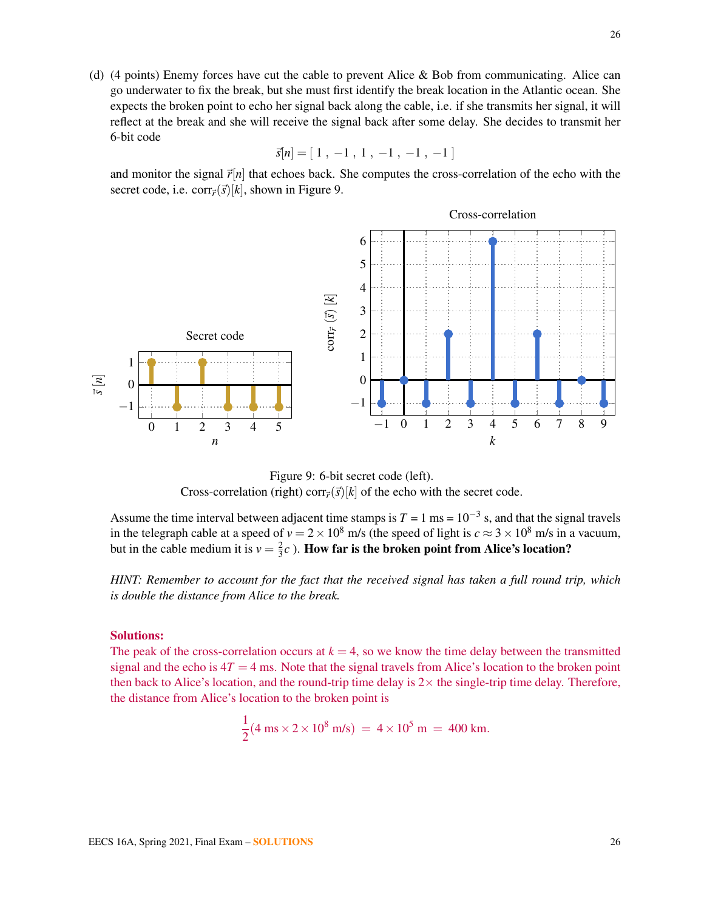(d) (4 points) Enemy forces have cut the cable to prevent Alice & Bob from communicating. Alice can go underwater to fix the break, but she must first identify the break location in the Atlantic ocean. She expects the broken point to echo her signal back along the cable, i.e. if she transmits her signal, it will reflect at the break and she will receive the signal back after some delay. She decides to transmit her 6-bit code

$$
\vec{s}[n] = [1, -1, 1, -1, -1, -1]
$$

and monitor the signal  $\vec{r}[n]$  that echoes back. She computes the cross-correlation of the echo with the secret code, i.e. corr $\vec{r}(\vec{s})[k]$ , shown in Figure [9.](#page-25-0)

<span id="page-25-0"></span>

Figure 9: 6-bit secret code (left). Cross-correlation (right) corr $\vec{r}(\vec{s})[k]$  of the echo with the secret code.

Assume the time interval between adjacent time stamps is  $T = 1$  ms =  $10^{-3}$  s, and that the signal travels in the telegraph cable at a speed of  $v = 2 \times 10^8$  m/s (the speed of light is  $c \approx 3 \times 10^8$  m/s in a vacuum, but in the cable medium it is  $v = \frac{2}{3}$  $\frac{2}{3}c$  ). How far is the broken point from Alice's location?

*HINT: Remember to account for the fact that the received signal has taken a full round trip, which is double the distance from Alice to the break.*

#### Solutions:

The peak of the cross-correlation occurs at  $k = 4$ , so we know the time delay between the transmitted signal and the echo is  $4T = 4$  ms. Note that the signal travels from Alice's location to the broken point then back to Alice's location, and the round-trip time delay is  $2 \times$  the single-trip time delay. Therefore, the distance from Alice's location to the broken point is

$$
\frac{1}{2}(4 \text{ ms} \times 2 \times 10^8 \text{ m/s}) = 4 \times 10^5 \text{ m} = 400 \text{ km}.
$$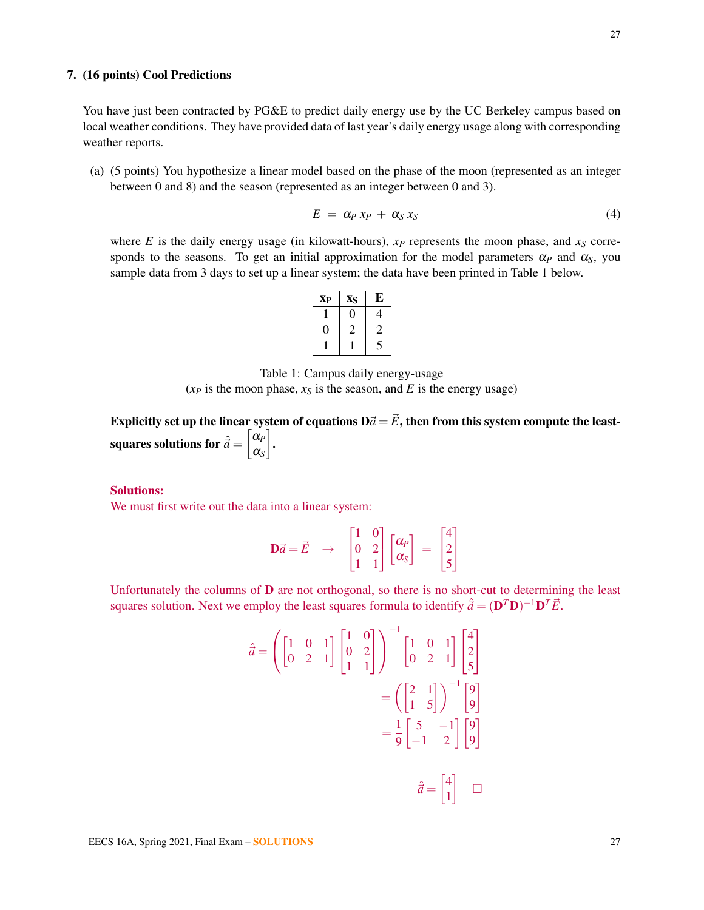# 7. (16 points) Cool Predictions

You have just been contracted by PG&E to predict daily energy use by the UC Berkeley campus based on local weather conditions. They have provided data of last year's daily energy usage along with corresponding weather reports.

(a) (5 points) You hypothesize a linear model based on the phase of the moon (represented as an integer between 0 and 8) and the season (represented as an integer between 0 and 3).

$$
E = \alpha_P x_P + \alpha_S x_S \tag{4}
$$

<span id="page-26-0"></span>where *E* is the daily energy usage (in kilowatt-hours),  $x<sub>P</sub>$  represents the moon phase, and  $x<sub>S</sub>$  corresponds to the seasons. To get an initial approximation for the model parameters  $\alpha_p$  and  $\alpha_s$ , you sample data from 3 days to set up a linear system; the data have been printed in Table [1](#page-26-0) below.

| <b>X<sub>P</sub></b> | XS | E, |
|----------------------|----|----|
|                      |    |    |
|                      |    |    |
|                      |    |    |

Table 1: Campus daily energy-usage  $(x_P$  is the moon phase,  $x_S$  is the season, and *E* is the energy usage)

Explicitly set up the linear system of equations  $D\vec{a} = \vec{E}$ , then from this system compute the leastsquares solutions for ˆ~*a* = α*P* α*S* .

#### Solutions:

We must first write out the data into a linear system:

$$
\mathbf{D}\vec{a} = \vec{E} \rightarrow \begin{bmatrix} 1 & 0 \\ 0 & 2 \\ 1 & 1 \end{bmatrix} \begin{bmatrix} \alpha_P \\ \alpha_S \end{bmatrix} = \begin{bmatrix} 4 \\ 2 \\ 5 \end{bmatrix}
$$

Unfortunately the columns of  **are not orthogonal, so there is no short-cut to determining the least** squares solution. Next we employ the least squares formula to identify  $\hat{\vec{a}} = (\mathbf{D}^T \mathbf{D})^{-1} \mathbf{D}^T \vec{E}$ .

$$
\hat{a} = \left( \begin{bmatrix} 1 & 0 & 1 \\ 0 & 2 & 1 \end{bmatrix} \begin{bmatrix} 1 & 0 \\ 0 & 2 \\ 1 & 1 \end{bmatrix} \right)^{-1} \begin{bmatrix} 1 & 0 & 1 \\ 0 & 2 & 1 \end{bmatrix} \begin{bmatrix} 4 \\ 2 \\ 5 \end{bmatrix}
$$

$$
= \left( \begin{bmatrix} 2 & 1 \\ 1 & 5 \end{bmatrix} \right)^{-1} \begin{bmatrix} 9 \\ 9 \end{bmatrix}
$$

$$
= \frac{1}{9} \begin{bmatrix} 5 & -1 \\ -1 & 2 \end{bmatrix} \begin{bmatrix} 9 \\ 9 \end{bmatrix}
$$

$$
\hat{a} = \begin{bmatrix} 4 \\ 1 \end{bmatrix} \quad \Box
$$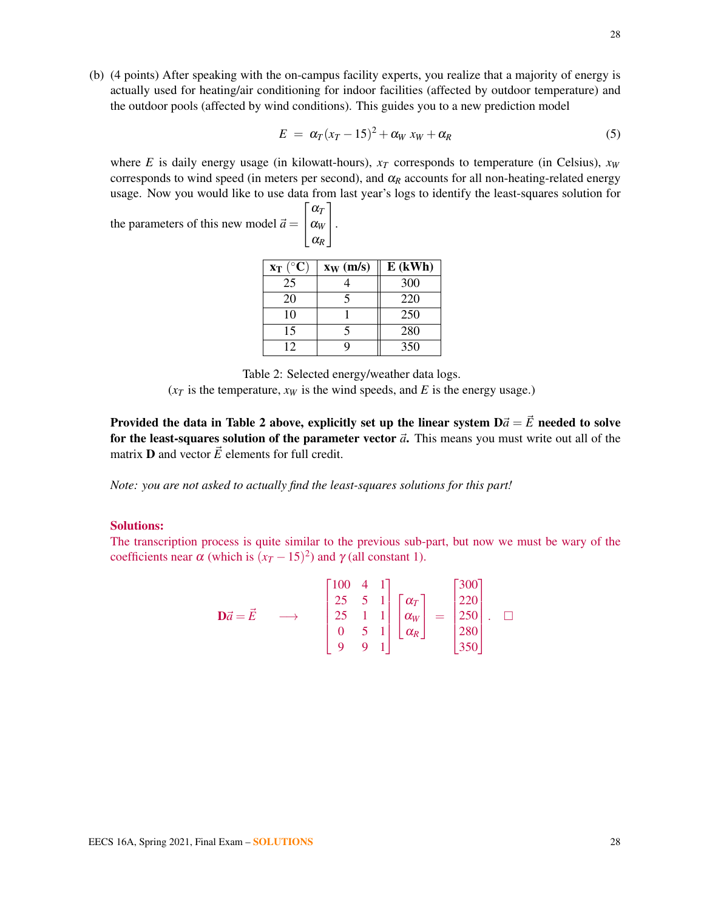(b) (4 points) After speaking with the on-campus facility experts, you realize that a majority of energy is actually used for heating/air conditioning for indoor facilities (affected by outdoor temperature) and the outdoor pools (affected by wind conditions). This guides you to a new prediction model

$$
E = \alpha_T (x_T - 15)^2 + \alpha_W x_W + \alpha_R \tag{5}
$$

where *E* is daily energy usage (in kilowatt-hours),  $x_T$  corresponds to temperature (in Celsius),  $x_W$ corresponds to wind speed (in meters per second), and  $\alpha_R$  accounts for all non-heating-related energy usage. Now you would like to use data from last year's logs to identify the least-squares solution for

<span id="page-27-0"></span>the parameters of this new model  $\vec{a} =$  $\sqrt{ }$  $\overline{\phantom{a}}$ α*T* α*W* α*R*

| $x_T (^\circ C)$ | $x_W$ (m/s) | $E$ (kWh) |
|------------------|-------------|-----------|
| 25               |             | 300       |
| 20               |             | 220       |
| 10               |             | 250       |
| 15               |             | 280       |
| 12               |             | 350       |

1  $\vert \cdot$ 

Table 2: Selected energy/weather data logs.

 $(x<sub>T</sub>$  is the temperature,  $x<sub>W</sub>$  is the wind speeds, and *E* is the energy usage.)

Provided the data in Table [2](#page-27-0) above, explicitly set up the linear system  $D\vec{a} = \vec{E}$  needed to solve for the least-squares solution of the parameter vector  $\vec{a}$ . This means you must write out all of the matrix **D** and vector  $\vec{E}$  elements for full credit.

*Note: you are not asked to actually find the least-squares solutions for this part!*

# Solutions:

The transcription process is quite similar to the previous sub-part, but now we must be wary of the coefficients near  $\alpha$  (which is  $(x_T - 15)^2$ ) and  $\gamma$  (all constant 1).

$$
\mathbf{D}\vec{a} = \vec{E} \longrightarrow \begin{bmatrix} 100 & 4 & 1 \\ 25 & 5 & 1 \\ 25 & 1 & 1 \\ 0 & 5 & 1 \\ 9 & 9 & 1 \end{bmatrix} \begin{bmatrix} \alpha_T \\ \alpha_W \\ \alpha_R \end{bmatrix} = \begin{bmatrix} 300 \\ 220 \\ 250 \\ 280 \\ 350 \end{bmatrix}. \quad \Box
$$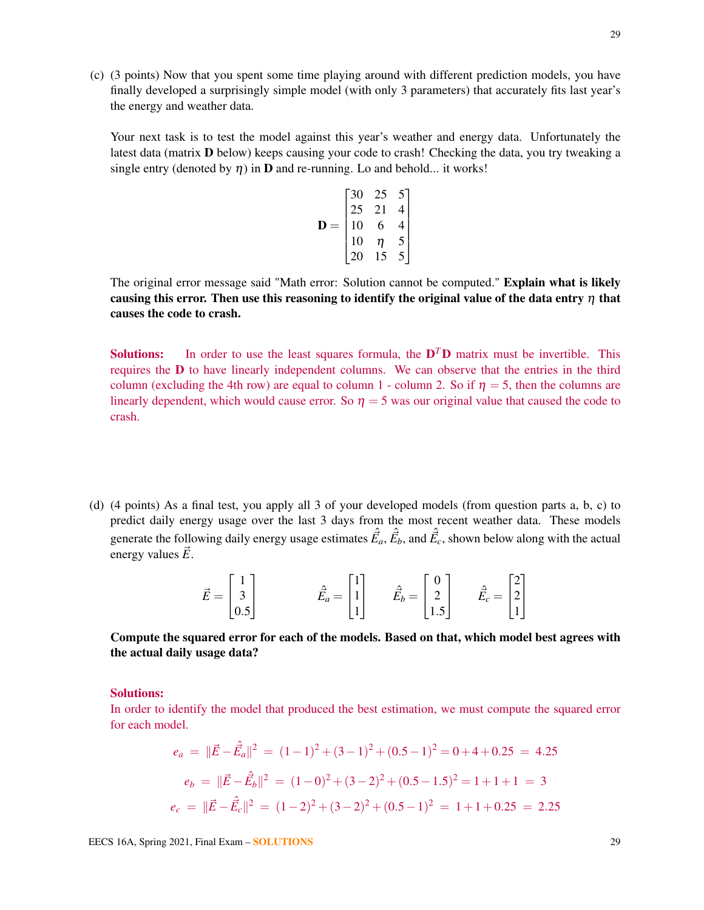(c) (3 points) Now that you spent some time playing around with different prediction models, you have finally developed a surprisingly simple model (with only 3 parameters) that accurately fits last year's the energy and weather data.

Your next task is to test the model against this year's weather and energy data. Unfortunately the latest data (matrix **D** below) keeps causing your code to crash! Checking the data, you try tweaking a single entry (denoted by  $\eta$ ) in **D** and re-running. Lo and behold... it works!

$$
\mathbf{D} = \begin{bmatrix} 30 & 25 & 5 \\ 25 & 21 & 4 \\ 10 & 6 & 4 \\ 10 & \eta & 5 \\ 20 & 15 & 5 \end{bmatrix}
$$

The original error message said "Math error: Solution cannot be computed." Explain what is likely causing this error. Then use this reasoning to identify the original value of the data entry  $\eta$  that causes the code to crash.

**Solutions:** In order to use the least squares formula, the  $D<sup>T</sup>D$  matrix must be invertible. This requires the D to have linearly independent columns. We can observe that the entries in the third column (excluding the 4th row) are equal to column 1 - column 2. So if  $\eta = 5$ , then the columns are linearly dependent, which would cause error. So  $\eta = 5$  was our original value that caused the code to crash.

(d) (4 points) As a final test, you apply all 3 of your developed models (from question parts a, b, c) to predict daily energy usage over the last 3 days from the most recent weather data. These models generate the following daily energy usage estimates  $\hat{\vec{E}}_a$ ,  $\hat{\vec{E}}_b$ , and  $\hat{\vec{E}}_c$ , shown below along with the actual energy values  $\vec{E}$ .

| $\vec{E} =$ |                                               | $\hat{E}_a = \begin{bmatrix} 1 \\ 1 \end{bmatrix}$ |                                                               |                                                               |
|-------------|-----------------------------------------------|----------------------------------------------------|---------------------------------------------------------------|---------------------------------------------------------------|
|             | $\begin{bmatrix} 1 \\ 3 \\ 0.5 \end{bmatrix}$ | $\lfloor 1 \rfloor$                                | $\hat{\vec{E_b}} = \begin{bmatrix} 0 \ 2 \ 1.5 \end{bmatrix}$ | $\hat{\vec{E}_c} = \begin{bmatrix} 2 \\ 2 \\ 1 \end{bmatrix}$ |

Compute the squared error for each of the models. Based on that, which model best agrees with the actual daily usage data?

#### Solutions:

In order to identify the model that produced the best estimation, we must compute the squared error for each model.

$$
e_a = \|\vec{E} - \hat{E}_a\|^2 = (1-1)^2 + (3-1)^2 + (0.5-1)^2 = 0 + 4 + 0.25 = 4.25
$$
  
\n
$$
e_b = \|\vec{E} - \hat{E}_b\|^2 = (1-0)^2 + (3-2)^2 + (0.5-1.5)^2 = 1 + 1 + 1 = 3
$$
  
\n
$$
e_c = \|\vec{E} - \hat{E}_c\|^2 = (1-2)^2 + (3-2)^2 + (0.5-1)^2 = 1 + 1 + 0.25 = 2.25
$$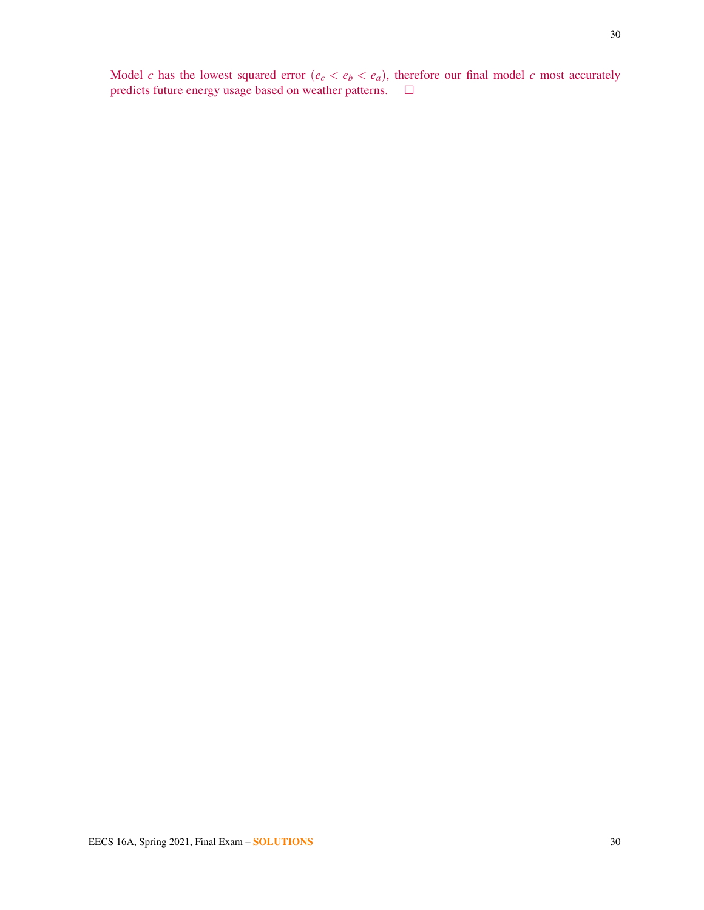Model *c* has the lowest squared error  $(e_c < e_b < e_a)$ , therefore our final model *c* most accurately predicts future energy usage based on weather patterns.  $\square$